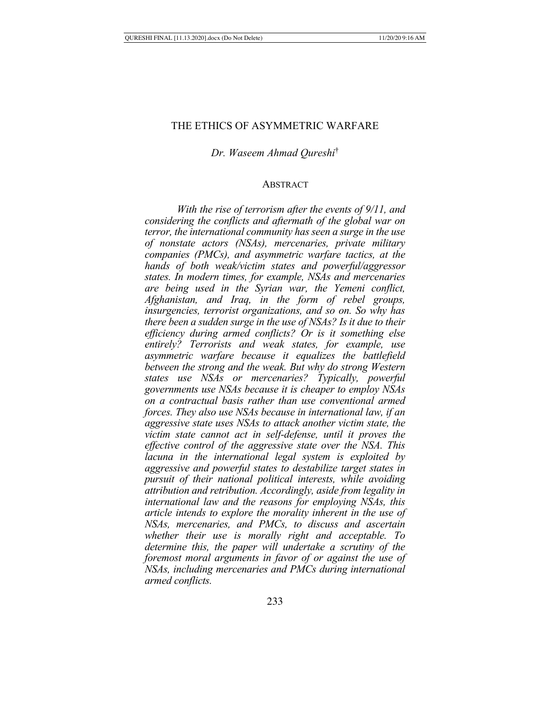## THE ETHICS OF ASYMMETRIC WARFARE

*Dr. Waseem Ahmad Qureshi*†

#### ABSTRACT

*With the rise of terrorism after the events of 9/11, and considering the conflicts and aftermath of the global war on terror, the international community has seen a surge in the use of nonstate actors (NSAs), mercenaries, private military companies (PMCs), and asymmetric warfare tactics, at the hands of both weak/victim states and powerful/aggressor states. In modern times, for example, NSAs and mercenaries are being used in the Syrian war, the Yemeni conflict, Afghanistan, and Iraq, in the form of rebel groups, insurgencies, terrorist organizations, and so on. So why has there been a sudden surge in the use of NSAs? Is it due to their efficiency during armed conflicts? Or is it something else entirely? Terrorists and weak states, for example, use asymmetric warfare because it equalizes the battlefield between the strong and the weak. But why do strong Western states use NSAs or mercenaries? Typically, powerful governments use NSAs because it is cheaper to employ NSAs on a contractual basis rather than use conventional armed forces. They also use NSAs because in international law, if an aggressive state uses NSAs to attack another victim state, the victim state cannot act in self-defense, until it proves the effective control of the aggressive state over the NSA. This lacuna in the international legal system is exploited by aggressive and powerful states to destabilize target states in pursuit of their national political interests, while avoiding attribution and retribution. Accordingly, aside from legality in international law and the reasons for employing NSAs, this article intends to explore the morality inherent in the use of NSAs, mercenaries, and PMCs, to discuss and ascertain whether their use is morally right and acceptable. To determine this, the paper will undertake a scrutiny of the foremost moral arguments in favor of or against the use of NSAs, including mercenaries and PMCs during international armed conflicts.*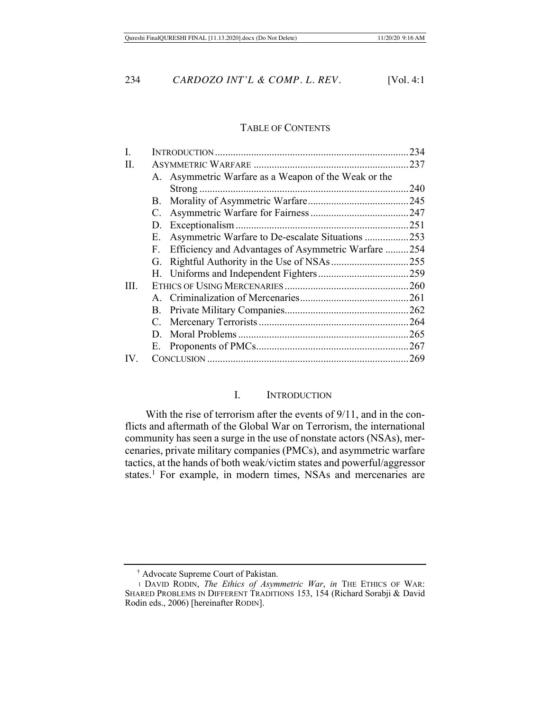#### TABLE OF CONTENTS

| I.   |    |                                                      | 234 |
|------|----|------------------------------------------------------|-----|
| Π.   |    |                                                      |     |
|      |    | A. Asymmetric Warfare as a Weapon of the Weak or the |     |
|      |    |                                                      |     |
|      |    |                                                      |     |
|      |    |                                                      |     |
|      |    |                                                      |     |
|      |    | E. Asymmetric Warfare to De-escalate Situations 253  |     |
|      | F. | Efficiency and Advantages of Asymmetric Warfare 254  |     |
|      |    |                                                      |     |
|      |    |                                                      |     |
| III. |    |                                                      |     |
|      |    |                                                      |     |
|      |    |                                                      |     |
|      |    |                                                      |     |
|      |    |                                                      |     |
|      |    |                                                      |     |
| IV.  |    |                                                      |     |
|      |    |                                                      |     |

#### I. INTRODUCTION

With the rise of terrorism after the events of 9/11, and in the conflicts and aftermath of the Global War on Terrorism, the international community has seen a surge in the use of nonstate actors (NSAs), mercenaries, private military companies (PMCs), and asymmetric warfare tactics, at the hands of both weak/victim states and powerful/aggressor states.<sup>1</sup> For example, in modern times, NSAs and mercenaries are

<sup>†</sup> Advocate Supreme Court of Pakistan.

<sup>1</sup> DAVID RODIN, *The Ethics of Asymmetric War*, *in* THE ETHICS OF WAR: SHARED PROBLEMS IN DIFFERENT TRADITIONS 153, 154 (Richard Sorabji & David Rodin eds., 2006) [hereinafter RODIN].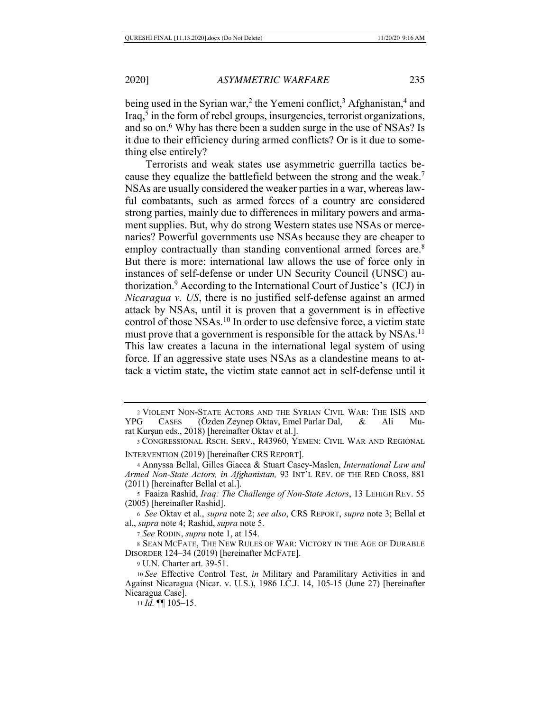being used in the Syrian war,<sup>2</sup> the Yemeni conflict,<sup>3</sup> Afghanistan,<sup>4</sup> and Iraq,<sup>5</sup> in the form of rebel groups, insurgencies, terrorist organizations, and so on.<sup>6</sup> Why has there been a sudden surge in the use of NSAs? Is it due to their efficiency during armed conflicts? Or is it due to something else entirely?

Terrorists and weak states use asymmetric guerrilla tactics because they equalize the battlefield between the strong and the weak.7 NSAs are usually considered the weaker parties in a war, whereas lawful combatants, such as armed forces of a country are considered strong parties, mainly due to differences in military powers and armament supplies. But, why do strong Western states use NSAs or mercenaries? Powerful governments use NSAs because they are cheaper to employ contractually than standing conventional armed forces are.<sup>8</sup> But there is more: international law allows the use of force only in instances of self-defense or under UN Security Council (UNSC) authorization.9 According to the International Court of Justice's (ICJ) in *Nicaragua v. US*, there is no justified self-defense against an armed attack by NSAs, until it is proven that a government is in effective control of those NSAs.<sup>10</sup> In order to use defensive force, a victim state must prove that a government is responsible for the attack by NSAs.<sup>11</sup> This law creates a lacuna in the international legal system of using force. If an aggressive state uses NSAs as a clandestine means to attack a victim state, the victim state cannot act in self-defense until it

5 Faaiza Rashid, *Iraq: The Challenge of Non-State Actors*, 13 LEHIGH REV. 55 (2005) [hereinafter Rashid].

<sup>6</sup> *See* Oktav et al., *supra* note 2; *see also*, CRS REPORT, *supra* note 3; Bellal et al., *supra* note 4; Rashid, *supra* note 5.

<sup>7</sup> *See* RODIN, *supra* note 1, at 154.

8 SEAN MCFATE, THE NEW RULES OF WAR: VICTORY IN THE AGE OF DURABLE DISORDER 124–34 (2019) [hereinafter MCFATE].

<sup>9</sup> U.N. Charter art. 39-51.

<sup>10</sup> *See* Effective Control Test, *in* Military and Paramilitary Activities in and Against Nicaragua (Nicar. v. U.S.), 1986 I.C.J. 14, 105-15 (June 27) [hereinafter Nicaragua Case].

<sup>11</sup> *Id.* ¶¶ 105–15.

<sup>2</sup> VIOLENT NON-STATE ACTORS AND THE SYRIAN CIVIL WAR: THE ISIS AND YPG CASES (Özden Zeynep Oktav, Emel Parlar Dal, & Ali Murat Kurşun eds., 2018) [hereinafter Oktav et al.].

<sup>3</sup> CONGRESSIONAL RSCH. SERV., R43960, YEMEN: CIVIL WAR AND REGIONAL INTERVENTION (2019) [hereinafter CRS REPORT].

<sup>4</sup> Annyssa Bellal, Gilles Giacca & Stuart Casey-Maslen, *International Law and Armed Non-State Actors, in Afghanistan,* 93 INT'L REV. OF THE RED CROSS, 881 (2011) [hereinafter Bellal et al.].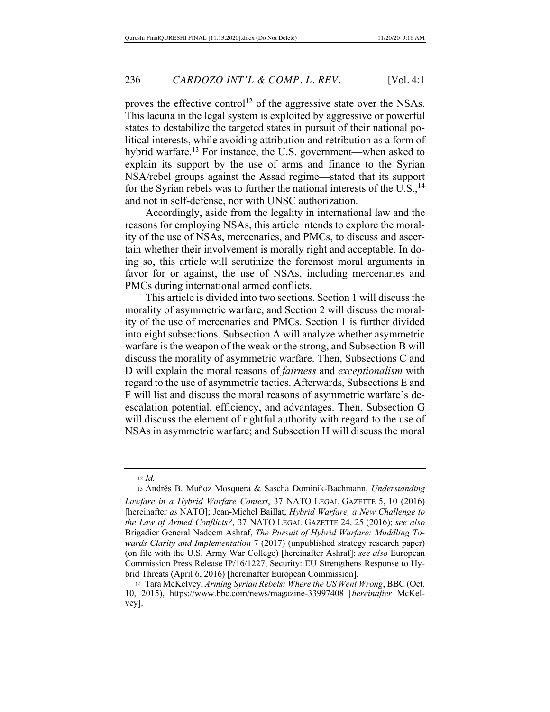proves the effective control<sup>12</sup> of the aggressive state over the NSAs. This lacuna in the legal system is exploited by aggressive or powerful states to destabilize the targeted states in pursuit of their national political interests, while avoiding attribution and retribution as a form of hybrid warfare.13 For instance, the U.S. government—when asked to explain its support by the use of arms and finance to the Syrian NSA/rebel groups against the Assad regime—stated that its support for the Syrian rebels was to further the national interests of the  $U.S.,<sup>14</sup>$ and not in self-defense, nor with UNSC authorization.

Accordingly, aside from the legality in international law and the reasons for employing NSAs, this article intends to explore the morality of the use of NSAs, mercenaries, and PMCs, to discuss and ascertain whether their involvement is morally right and acceptable. In doing so, this article will scrutinize the foremost moral arguments in favor for or against, the use of NSAs, including mercenaries and PMCs during international armed conflicts.

This article is divided into two sections. Section 1 will discuss the morality of asymmetric warfare, and Section 2 will discuss the morality of the use of mercenaries and PMCs. Section 1 is further divided into eight subsections. Subsection A will analyze whether asymmetric warfare is the weapon of the weak or the strong, and Subsection B will discuss the morality of asymmetric warfare. Then, Subsections C and D will explain the moral reasons of *fairness* and *exceptionalism* with regard to the use of asymmetric tactics. Afterwards, Subsections E and F will list and discuss the moral reasons of asymmetric warfare's deescalation potential, efficiency, and advantages. Then, Subsection G will discuss the element of rightful authority with regard to the use of NSAs in asymmetric warfare; and Subsection H will discuss the moral

<sup>12</sup> *Id.*

<sup>13</sup> Andrés B. Muñoz Mosquera & Sascha Dominik-Bachmann, *Understanding Lawfare in a Hybrid Warfare Context*, 37 NATO LEGAL GAZETTE 5, 10 (2016) [hereinafter *as* NATO]; Jean-Michel Baillat, *Hybrid Warfare, a New Challenge to the Law of Armed Conflicts?*, 37 NATO LEGAL GAZETTE 24, 25 (2016); *see also*  Brigadier General Nadeem Ashraf, *The Pursuit of Hybrid Warfare: Muddling Towards Clarity and Implementation* 7 (2017) (unpublished strategy research paper) (on file with the U.S. Army War College) [hereinafter Ashraf]; *see also* European Commission Press Release IP/16/1227, Security: EU Strengthens Response to Hybrid Threats (April 6, 2016) [hereinafter European Commission].

<sup>14</sup> Tara McKelvey, *Arming Syrian Rebels: Where the US Went Wrong*, BBC (Oct. 10, 2015), https://www.bbc.com/news/magazine-33997408 [*hereinafter* McKelvey].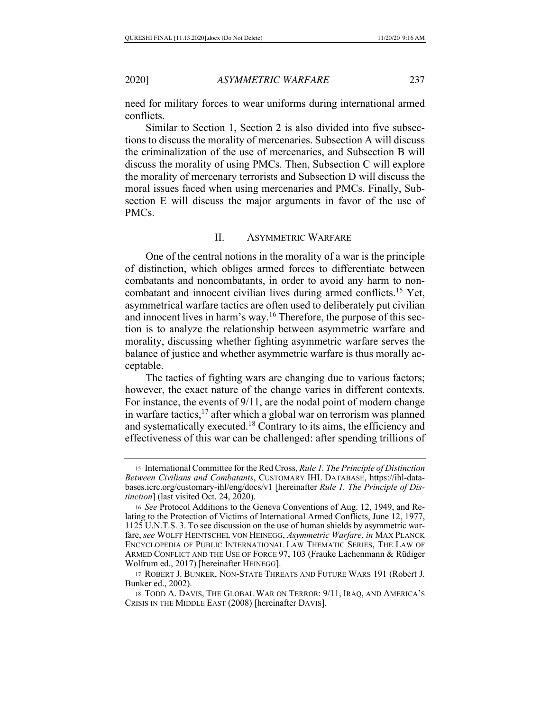need for military forces to wear uniforms during international armed conflicts.

Similar to Section 1, Section 2 is also divided into five subsections to discuss the morality of mercenaries. Subsection A will discuss the criminalization of the use of mercenaries, and Subsection B will discuss the morality of using PMCs. Then, Subsection C will explore the morality of mercenary terrorists and Subsection D will discuss the moral issues faced when using mercenaries and PMCs. Finally, Subsection E will discuss the major arguments in favor of the use of PMCs.

#### II. ASYMMETRIC WARFARE

One of the central notions in the morality of a war is the principle of distinction, which obliges armed forces to differentiate between combatants and noncombatants, in order to avoid any harm to noncombatant and innocent civilian lives during armed conflicts.15 Yet, asymmetrical warfare tactics are often used to deliberately put civilian and innocent lives in harm's way.16 Therefore, the purpose of this section is to analyze the relationship between asymmetric warfare and morality, discussing whether fighting asymmetric warfare serves the balance of justice and whether asymmetric warfare is thus morally acceptable.

The tactics of fighting wars are changing due to various factors; however, the exact nature of the change varies in different contexts. For instance, the events of 9/11, are the nodal point of modern change in warfare tactics,<sup>17</sup> after which a global war on terrorism was planned and systematically executed.18 Contrary to its aims, the efficiency and effectiveness of this war can be challenged: after spending trillions of

<sup>15</sup> International Committee for the Red Cross, *Rule 1. The Principle of Distinction Between Civilians and Combatants*, CUSTOMARY IHL DATABASE, https://ihl-databases.icrc.org/customary-ihl/eng/docs/v1 [hereinafter *Rule 1. The Principle of Distinction*] (last visited Oct. 24, 2020).

<sup>16</sup> *See* Protocol Additions to the Geneva Conventions of Aug. 12, 1949, and Relating to the Protection of Victims of International Armed Conflicts, June 12, 1977, 1125 U.N.T.S. 3. To see discussion on the use of human shields by asymmetric warfare, *see* WOLFF HEINTSCHEL VON HEINEGG, *Asymmetric Warfare*, *in* MAX PLANCK ENCYCLOPEDIA OF PUBLIC INTERNATIONAL LAW THEMATIC SERIES, THE LAW OF ARMED CONFLICT AND THE USE OF FORCE 97, 103 (Frauke Lachenmann & Rüdiger Wolfrum ed., 2017) [hereinafter HEINEGG].

<sup>17</sup> ROBERT J. BUNKER, NON-STATE THREATS AND FUTURE WARS 191 (Robert J. Bunker ed., 2002).

<sup>18</sup> TODD A. DAVIS, THE GLOBAL WAR ON TERROR: 9/11, IRAQ, AND AMERICA'S CRISIS IN THE MIDDLE EAST (2008) [hereinafter DAVIS].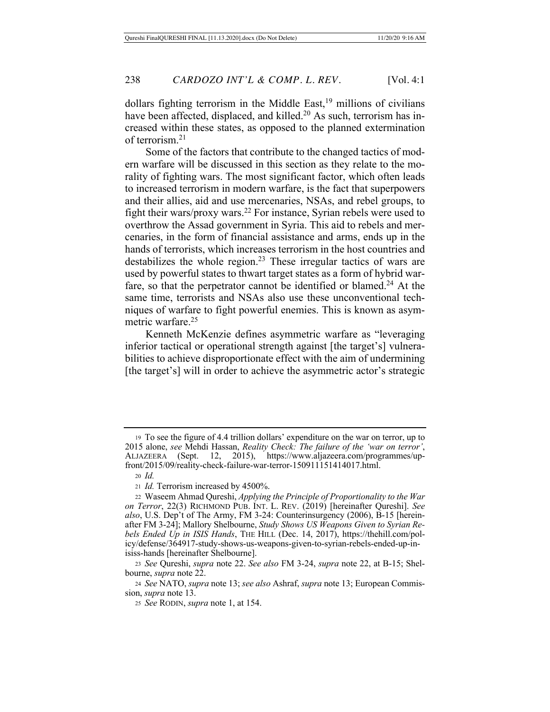dollars fighting terrorism in the Middle East,<sup>19</sup> millions of civilians have been affected, displaced, and killed.<sup>20</sup> As such, terrorism has increased within these states, as opposed to the planned extermination of terrorism.21

Some of the factors that contribute to the changed tactics of modern warfare will be discussed in this section as they relate to the morality of fighting wars. The most significant factor, which often leads to increased terrorism in modern warfare, is the fact that superpowers and their allies, aid and use mercenaries, NSAs, and rebel groups, to fight their wars/proxy wars.<sup>22</sup> For instance, Syrian rebels were used to overthrow the Assad government in Syria. This aid to rebels and mercenaries, in the form of financial assistance and arms, ends up in the hands of terrorists, which increases terrorism in the host countries and destabilizes the whole region.<sup>23</sup> These irregular tactics of wars are used by powerful states to thwart target states as a form of hybrid warfare, so that the perpetrator cannot be identified or blamed.<sup>24</sup> At the same time, terrorists and NSAs also use these unconventional techniques of warfare to fight powerful enemies. This is known as asymmetric warfare.<sup>25</sup>

Kenneth McKenzie defines asymmetric warfare as "leveraging inferior tactical or operational strength against [the target's] vulnerabilities to achieve disproportionate effect with the aim of undermining [the target's] will in order to achieve the asymmetric actor's strategic

<sup>19</sup> To see the figure of 4.4 trillion dollars' expenditure on the war on terror, up to 2015 alone, *see* Mehdi Hassan, *Reality Check: The failure of the 'war on terror'*, ALJAZEERA (Sept. 12, 2015), https://www.aljazeera.com/programmes/upfront/2015/09/reality-check-failure-war-terror-150911151414017.html.

<sup>20</sup> *Id.*

<sup>21</sup> *Id.* Terrorism increased by 4500%.

<sup>22</sup> Waseem Ahmad Qureshi, *Applying the Principle of Proportionality to the War on Terror*, 22(3) RICHMOND PUB. INT. L. REV. (2019) [hereinafter Qureshi]. *See also*, U.S. Dep't of The Army, FM 3-24: Counterinsurgency (2006), B-15 [hereinafter FM 3-24]; Mallory Shelbourne, *Study Shows US Weapons Given to Syrian Rebels Ended Up in ISIS Hands*, THE HILL (Dec. 14, 2017), https://thehill.com/policy/defense/364917-study-shows-us-weapons-given-to-syrian-rebels-ended-up-inisiss-hands [hereinafter Shelbourne].

<sup>23</sup> *See* Qureshi, *supra* note 22. *See also* FM 3-24, *supra* note 22, at B-15; Shelbourne, *supra* note 22.

<sup>24</sup> *See* NATO, *supra* note 13; *see also* Ashraf, *supra* note 13; European Commission, *supra* note 13.

<sup>25</sup> *See* RODIN, *supra* note 1, at 154.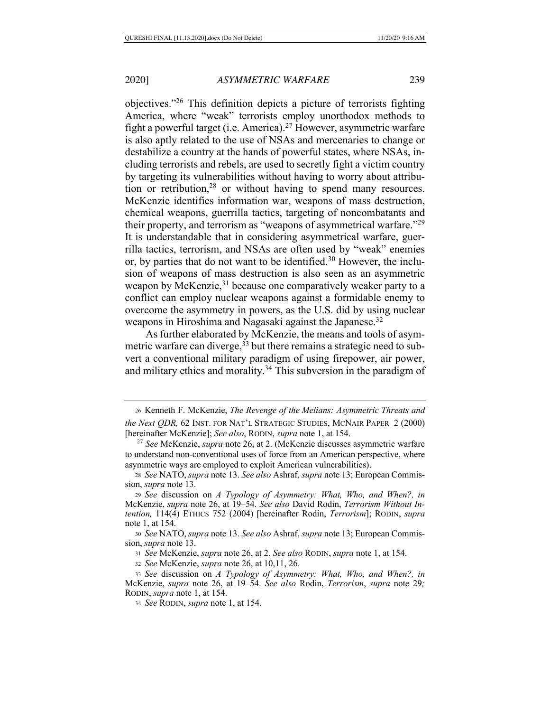objectives."26 This definition depicts a picture of terrorists fighting America, where "weak" terrorists employ unorthodox methods to fight a powerful target (i.e. America).<sup>27</sup> However, asymmetric warfare is also aptly related to the use of NSAs and mercenaries to change or destabilize a country at the hands of powerful states, where NSAs, including terrorists and rebels, are used to secretly fight a victim country by targeting its vulnerabilities without having to worry about attribution or retribution,28 or without having to spend many resources. McKenzie identifies information war, weapons of mass destruction, chemical weapons, guerrilla tactics, targeting of noncombatants and their property, and terrorism as "weapons of asymmetrical warfare."29 It is understandable that in considering asymmetrical warfare, guerrilla tactics, terrorism, and NSAs are often used by "weak" enemies or, by parties that do not want to be identified.30 However, the inclusion of weapons of mass destruction is also seen as an asymmetric weapon by McKenzie,<sup>31</sup> because one comparatively weaker party to a conflict can employ nuclear weapons against a formidable enemy to overcome the asymmetry in powers, as the U.S. did by using nuclear weapons in Hiroshima and Nagasaki against the Japanese.<sup>32</sup>

As further elaborated by McKenzie, the means and tools of asymmetric warfare can diverge,  $33$  but there remains a strategic need to subvert a conventional military paradigm of using firepower, air power, and military ethics and morality.34 This subversion in the paradigm of

<sup>30</sup> *See* NATO, *supra* note 13. *See also* Ashraf, *supra* note 13; European Commission, *supra* note 13.

<sup>31</sup> *See* McKenzie, *supra* note 26, at 2. *See also* RODIN, *supra* note 1, at 154.

<sup>32</sup> *See* McKenzie, *supra* note 26, at 10,11, 26.

<sup>33</sup> *See* discussion on *A Typology of Asymmetry: What, Who, and When?, in*  McKenzie, *supra* note 26, at 19–54. *See also* Rodin, *Terrorism*, *supra* note 29*;* RODIN, *supra* note 1, at 154.

<sup>34</sup> *See* RODIN, *supra* note 1, at 154.

<sup>26</sup> Kenneth F. McKenzie, *The Revenge of the Melians: Asymmetric Threats and the Next QDR,* 62 INST. FOR NAT'L STRATEGIC STUDIES, MCNAIR PAPER 2 (2000) [hereinafter McKenzie]; *See also*, RODIN, *supra* note 1, at 154.

<sup>27</sup> *See* McKenzie, *supra* note 26, at 2. (McKenzie discusses asymmetric warfare to understand non-conventional uses of force from an American perspective, where asymmetric ways are employed to exploit American vulnerabilities).

<sup>28</sup> *See* NATO, *supra* note 13. *See also* Ashraf, *supra* note 13; European Commission, *supra* note 13.

<sup>29</sup> *See* discussion on *A Typology of Asymmetry: What, Who, and When?, in*  McKenzie, *supra* note 26, at 19–54. *See also* David Rodin, *Terrorism Without Intention,* 114(4) ETHICS 752 (2004) [hereinafter Rodin, *Terrorism*]; RODIN, *supra* note 1, at 154.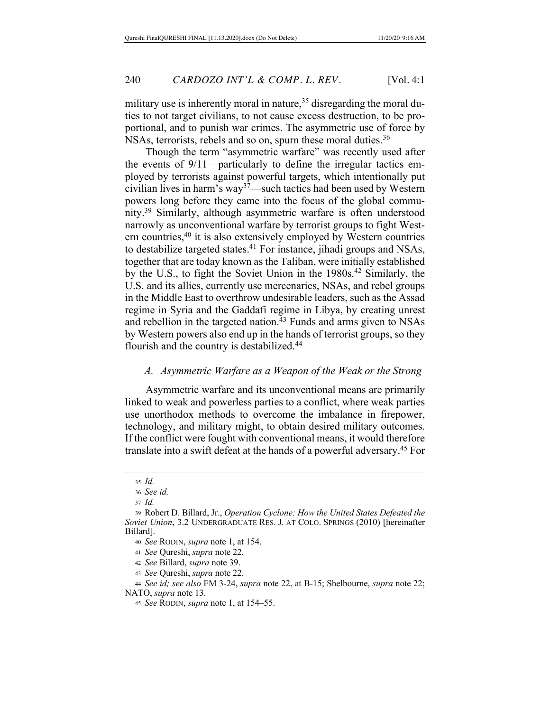military use is inherently moral in nature,  $35$  disregarding the moral duties to not target civilians, to not cause excess destruction, to be proportional, and to punish war crimes. The asymmetric use of force by NSAs, terrorists, rebels and so on, spurn these moral duties.<sup>36</sup>

Though the term "asymmetric warfare" was recently used after the events of 9/11—particularly to define the irregular tactics employed by terrorists against powerful targets, which intentionally put civilian lives in harm's way<sup>37</sup>—such tactics had been used by Western powers long before they came into the focus of the global community.39 Similarly, although asymmetric warfare is often understood narrowly as unconventional warfare by terrorist groups to fight Western countries,40 it is also extensively employed by Western countries to destabilize targeted states.41 For instance, jihadi groups and NSAs, together that are today known as the Taliban, were initially established by the U.S., to fight the Soviet Union in the 1980s.<sup>42</sup> Similarly, the U.S. and its allies, currently use mercenaries, NSAs, and rebel groups in the Middle East to overthrow undesirable leaders, such as the Assad regime in Syria and the Gaddafi regime in Libya, by creating unrest and rebellion in the targeted nation.<sup>43</sup> Funds and arms given to NSAs by Western powers also end up in the hands of terrorist groups, so they flourish and the country is destabilized.44

#### *A. Asymmetric Warfare as a Weapon of the Weak or the Strong*

Asymmetric warfare and its unconventional means are primarily linked to weak and powerless parties to a conflict, where weak parties use unorthodox methods to overcome the imbalance in firepower, technology, and military might, to obtain desired military outcomes. If the conflict were fought with conventional means, it would therefore translate into a swift defeat at the hands of a powerful adversary.45 For

<sup>35</sup> *Id.*

<sup>36</sup> *See id.*

<sup>37</sup> *Id.*

<sup>39</sup> Robert D. Billard, Jr., *Operation Cyclone: How the United States Defeated the Soviet Union*, 3.2 UNDERGRADUATE RES. J. AT COLO. SPRINGS (2010) [hereinafter Billard].

<sup>40</sup> *See* RODIN, *supra* note 1, at 154.

<sup>41</sup> *See* Qureshi, *supra* note 22.

<sup>42</sup> *See* Billard, *supra* note 39.

<sup>43</sup> *See* Qureshi, *supra* note 22.

<sup>44</sup> *See id; see also* FM 3-24, *supra* note 22, at B-15; Shelbourne, *supra* note 22; NATO, *supra* note 13.

<sup>45</sup> *See* RODIN, *supra* note 1, at 154–55.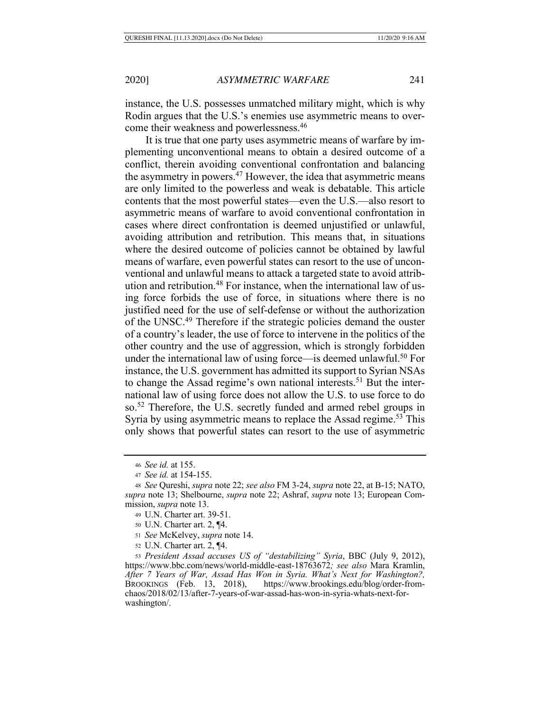instance, the U.S. possesses unmatched military might, which is why Rodin argues that the U.S.'s enemies use asymmetric means to overcome their weakness and powerlessness.46

It is true that one party uses asymmetric means of warfare by implementing unconventional means to obtain a desired outcome of a conflict, therein avoiding conventional confrontation and balancing the asymmetry in powers.<sup>47</sup> However, the idea that asymmetric means are only limited to the powerless and weak is debatable. This article contents that the most powerful states—even the U.S.—also resort to asymmetric means of warfare to avoid conventional confrontation in cases where direct confrontation is deemed unjustified or unlawful, avoiding attribution and retribution. This means that, in situations where the desired outcome of policies cannot be obtained by lawful means of warfare, even powerful states can resort to the use of unconventional and unlawful means to attack a targeted state to avoid attribution and retribution.<sup>48</sup> For instance, when the international law of using force forbids the use of force, in situations where there is no justified need for the use of self-defense or without the authorization of the UNSC.49 Therefore if the strategic policies demand the ouster of a country's leader, the use of force to intervene in the politics of the other country and the use of aggression, which is strongly forbidden under the international law of using force—is deemed unlawful.<sup>50</sup> For instance, the U.S. government has admitted its support to Syrian NSAs to change the Assad regime's own national interests.<sup>51</sup> But the international law of using force does not allow the U.S. to use force to do so.52 Therefore, the U.S. secretly funded and armed rebel groups in Syria by using asymmetric means to replace the Assad regime.<sup>53</sup> This only shows that powerful states can resort to the use of asymmetric

<sup>52</sup> U.N. Charter art. 2, ¶4.

<sup>53</sup> *President Assad accuses US of "destabilizing" Syria*, BBC (July 9, 2012), https://www.bbc.com/news/world-middle-east-18763672*; see also* Mara Kramlin, *After 7 Years of War, Assad Has Won in Syria. What's Next for Washington?,* BROOKINGS (Feb. 13, 2018), https://www.brookings.edu/blog/order-fromchaos/2018/02/13/after-7-years-of-war-assad-has-won-in-syria-whats-next-forwashington/.

<sup>46</sup> *See id.* at 155.

<sup>47</sup> *See id.* at 154-155.

<sup>48</sup> *See* Qureshi, *supra* note 22; *see also* FM 3-24, *supra* note 22, at B-15; NATO, *supra* note 13; Shelbourne, *supra* note 22; Ashraf, *supra* note 13; European Commission, *supra* note 13.

<sup>49</sup> U.N. Charter art. 39-51.

<sup>50</sup> U.N. Charter art. 2, ¶4.

<sup>51</sup> *See* McKelvey, *supra* note 14.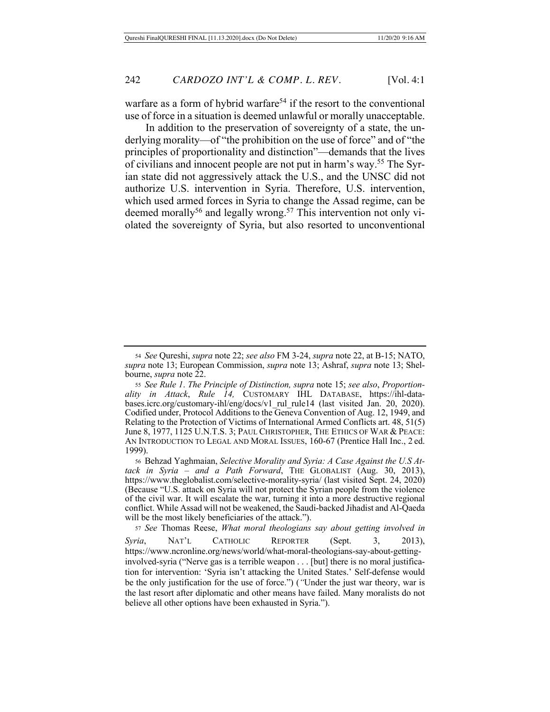warfare as a form of hybrid warfare<sup>54</sup> if the resort to the conventional use of force in a situation is deemed unlawful or morally unacceptable.

In addition to the preservation of sovereignty of a state, the underlying morality—of "the prohibition on the use of force" and of "the principles of proportionality and distinction"—demands that the lives of civilians and innocent people are not put in harm's way.55 The Syrian state did not aggressively attack the U.S., and the UNSC did not authorize U.S. intervention in Syria. Therefore, U.S. intervention, which used armed forces in Syria to change the Assad regime, can be deemed morally<sup>56</sup> and legally wrong.<sup>57</sup> This intervention not only violated the sovereignty of Syria, but also resorted to unconventional

<sup>56</sup> Behzad Yaghmaian, *Selective Morality and Syria: A Case Against the U.S Attack in Syria – and a Path Forward*, THE GLOBALIST (Aug. 30, 2013), https://www.theglobalist.com/selective-morality-syria/ (last visited Sept. 24, 2020) (Because "U.S. attack on Syria will not protect the Syrian people from the violence of the civil war. It will escalate the war, turning it into a more destructive regional conflict. While Assad will not be weakened, the Saudi-backed Jihadist and Al-Qaeda will be the most likely beneficiaries of the attack.").

<sup>57</sup> *See* Thomas Reese, *What moral theologians say about getting involved in Syria*, NAT'L CATHOLIC REPORTER (Sept. 3, 2013), https://www.ncronline.org/news/world/what-moral-theologians-say-about-gettinginvolved-syria ("Nerve gas is a terrible weapon . . . [but] there is no moral justification for intervention: 'Syria isn't attacking the United States.' Self-defense would be the only justification for the use of force.") (*"*Under the just war theory, war is the last resort after diplomatic and other means have failed. Many moralists do not believe all other options have been exhausted in Syria.").

<sup>54</sup> *See* Qureshi, *supra* note 22; *see also* FM 3-24, *supra* note 22, at B-15; NATO, *supra* note 13; European Commission, *supra* note 13; Ashraf, *supra* note 13; Shelbourne, *supra* note 22.

<sup>55</sup> *See Rule 1*. *The Principle of Distinction, supra* note 15; *see also*, *Proportionality in Attack*, *Rule 14,* CUSTOMARY IHL DATABASE, https://ihl-databases.icrc.org/customary-ihl/eng/docs/v1\_rul\_rule14 (last visited Jan. 20, 2020). Codified under, Protocol Additions to the Geneva Convention of Aug. 12, 1949, and Relating to the Protection of Victims of International Armed Conflicts art. 48, 51(5) June 8, 1977, 1125 U.N.T.S. 3; PAUL CHRISTOPHER, THE ETHICS OF WAR & PEACE: AN INTRODUCTION TO LEGAL AND MORAL ISSUES, 160-67 (Prentice Hall Inc., 2 ed. 1999).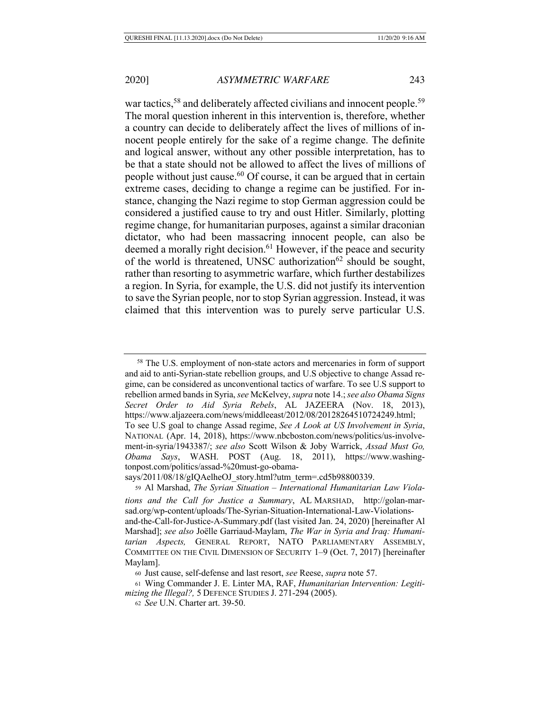war tactics,<sup>58</sup> and deliberately affected civilians and innocent people.<sup>59</sup> The moral question inherent in this intervention is, therefore, whether a country can decide to deliberately affect the lives of millions of innocent people entirely for the sake of a regime change. The definite and logical answer, without any other possible interpretation, has to be that a state should not be allowed to affect the lives of millions of people without just cause.60 Of course, it can be argued that in certain extreme cases, deciding to change a regime can be justified. For instance, changing the Nazi regime to stop German aggression could be considered a justified cause to try and oust Hitler. Similarly, plotting regime change, for humanitarian purposes, against a similar draconian dictator, who had been massacring innocent people, can also be deemed a morally right decision.<sup>61</sup> However, if the peace and security of the world is threatened, UNSC authorization<sup>62</sup> should be sought, rather than resorting to asymmetric warfare, which further destabilizes a region. In Syria, for example, the U.S. did not justify its intervention to save the Syrian people, nor to stop Syrian aggression. Instead, it was claimed that this intervention was to purely serve particular U.S.

<sup>&</sup>lt;sup>58</sup> The U.S. employment of non-state actors and mercenaries in form of support and aid to anti-Syrian-state rebellion groups, and U.S objective to change Assad regime, can be considered as unconventional tactics of warfare. To see U.S support to rebellion armed bands in Syria, *see* McKelvey, *supra* note 14.; *see also Obama Signs Secret Order to Aid Syria Rebels*, AL JAZEERA (Nov. 18, 2013), https://www.aljazeera.com/news/middleeast/2012/08/20128264510724249.html; To see U.S goal to change Assad regime, *See A Look at US Involvement in Syria*,

NATIONAL (Apr. 14, 2018), https://www.nbcboston.com/news/politics/us-involvement-in-syria/1943387/; *see also* Scott Wilson & Joby Warrick, *Assad Must Go, Obama Says*, WASH. POST (Aug. 18, 2011), https://www.washingtonpost.com/politics/assad-%20must-go-obama-

says/2011/08/18/gIQAelheOJ\_story.html?utm\_term=.cd5b98800339.

<sup>59</sup> Al Marshad, *The Syrian Situation – International Humanitarian Law Viola-*

*tions and the Call for Justice a Summary*, AL MARSHAD, http://golan-marsad.org/wp-content/uploads/The-Syrian-Situation-International-Law-Violationsand-the-Call-for-Justice-A-Summary.pdf (last visited Jan. 24, 2020) [hereinafter Al Marshad]; *see also* Joëlle Garriaud-Maylam, *The War in Syria and Iraq: Humanitarian Aspects,* GENERAL REPORT, NATO PARLIAMENTARY ASSEMBLY, COMMITTEE ON THE CIVIL DIMENSION OF SECURITY 1–9 (Oct. 7, 2017) [hereinafter Maylam].

<sup>60</sup> Just cause, self-defense and last resort, *see* Reese, *supra* note 57.

<sup>61</sup> Wing Commander J. E. Linter MA, RAF, *Humanitarian Intervention: Legitimizing the Illegal?,* 5 DEFENCE STUDIES J. 271-294 (2005).

<sup>62</sup> *See* U.N. Charter art. 39-50.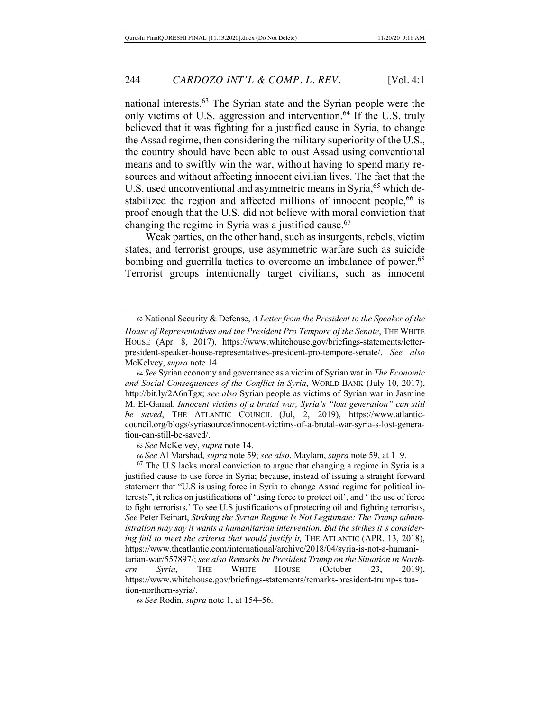national interests.63 The Syrian state and the Syrian people were the only victims of U.S. aggression and intervention.<sup>64</sup> If the U.S. truly believed that it was fighting for a justified cause in Syria, to change the Assad regime, then considering the military superiority of the U.S., the country should have been able to oust Assad using conventional means and to swiftly win the war, without having to spend many resources and without affecting innocent civilian lives. The fact that the U.S. used unconventional and asymmetric means in Syria,<sup>65</sup> which destabilized the region and affected millions of innocent people,<sup>66</sup> is proof enough that the U.S. did not believe with moral conviction that changing the regime in Syria was a justified cause.<sup>67</sup>

Weak parties, on the other hand, such as insurgents, rebels, victim states, and terrorist groups, use asymmetric warfare such as suicide bombing and guerrilla tactics to overcome an imbalance of power.<sup>68</sup> Terrorist groups intentionally target civilians, such as innocent

<sup>63</sup> National Security & Defense, *A Letter from the President to the Speaker of the House of Representatives and the President Pro Tempore of the Senate*, THE WHITE HOUSE (Apr. 8, 2017), https://www.whitehouse.gov/briefings-statements/letterpresident-speaker-house-representatives-president-pro-tempore-senate/. *See also* McKelvey, *supra* note 14.

<sup>64</sup> *See* Syrian economy and governance as a victim of Syrian war in *The Economic and Social Consequences of the Conflict in Syria*, WORLD BANK (July 10, 2017), http://bit.ly/2A6nTgx; *see also* Syrian people as victims of Syrian war in Jasmine M. El-Gamal, *Innocent victims of a brutal war, Syria's "lost generation" can still be saved*, THE ATLANTIC COUNCIL (Jul, 2, 2019), https://www.atlanticcouncil.org/blogs/syriasource/innocent-victims-of-a-brutal-war-syria-s-lost-generation-can-still-be-saved/.

<sup>65</sup> *See* McKelvey, *supra* note 14.

<sup>66</sup> *See* Al Marshad, *supra* note 59; *see also*, Maylam, *supra* note 59, at 1–9.

 $67$  The U.S lacks moral conviction to argue that changing a regime in Syria is a justified cause to use force in Syria; because, instead of issuing a straight forward statement that "U.S is using force in Syria to change Assad regime for political interests", it relies on justifications of 'using force to protect oil', and ' the use of force to fight terrorists.' To see U.S justifications of protecting oil and fighting terrorists, *See* Peter Beinart, *Striking the Syrian Regime Is Not Legitimate: The Trump administration may say it wants a humanitarian intervention. But the strikes it's considering fail to meet the criteria that would justify it,* THE ATLANTIC (APR. 13, 2018), https://www.theatlantic.com/international/archive/2018/04/syria-is-not-a-humanitarian-war/557897/; *see also Remarks by President Trump on the Situation in Northern Syria*, THE WHITE HOUSE (October 23, 2019), https://www.whitehouse.gov/briefings-statements/remarks-president-trump-situation-northern-syria/.

<sup>68</sup> *See* Rodin, *supra* note 1, at 154–56.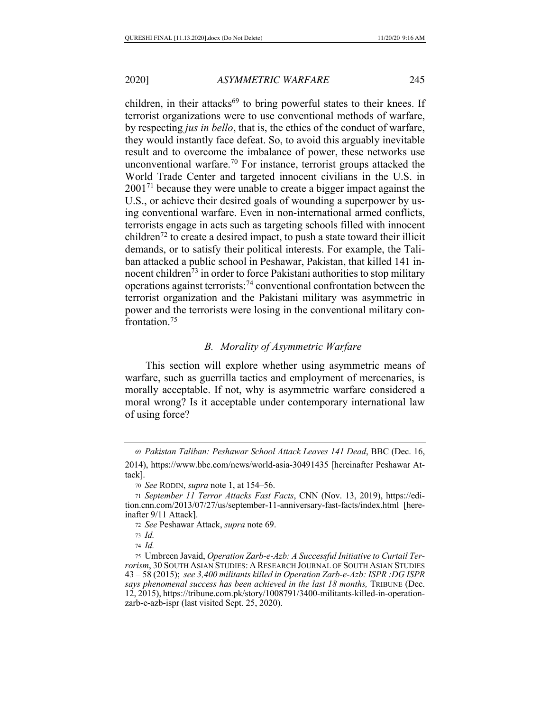children, in their attacks<sup>69</sup> to bring powerful states to their knees. If terrorist organizations were to use conventional methods of warfare, by respecting *jus in bello*, that is, the ethics of the conduct of warfare, they would instantly face defeat. So, to avoid this arguably inevitable result and to overcome the imbalance of power, these networks use unconventional warfare.<sup>70</sup> For instance, terrorist groups attacked the World Trade Center and targeted innocent civilians in the U.S. in  $2001<sup>71</sup>$  because they were unable to create a bigger impact against the U.S., or achieve their desired goals of wounding a superpower by using conventional warfare. Even in non-international armed conflicts, terrorists engage in acts such as targeting schools filled with innocent children<sup>72</sup> to create a desired impact, to push a state toward their illicit demands, or to satisfy their political interests. For example, the Taliban attacked a public school in Peshawar, Pakistan, that killed 141 innocent children<sup>73</sup> in order to force Pakistani authorities to stop military operations against terrorists:74 conventional confrontation between the terrorist organization and the Pakistani military was asymmetric in power and the terrorists were losing in the conventional military confrontation.75

# *B. Morality of Asymmetric Warfare*

This section will explore whether using asymmetric means of warfare, such as guerrilla tactics and employment of mercenaries, is morally acceptable. If not, why is asymmetric warfare considered a moral wrong? Is it acceptable under contemporary international law of using force?

<sup>69</sup> *Pakistan Taliban: Peshawar School Attack Leaves 141 Dead*, BBC (Dec. 16, 2014), https://www.bbc.com/news/world-asia-30491435 [hereinafter Peshawar Attack].

<sup>70</sup> *See* RODIN, *supra* note 1, at 154–56.

<sup>71</sup> *September 11 Terror Attacks Fast Facts*, CNN (Nov. 13, 2019), https://edition.cnn.com/2013/07/27/us/september-11-anniversary-fast-facts/index.html [hereinafter 9/11 Attack].

<sup>72</sup> *See* Peshawar Attack, *supra* note 69.

<sup>73</sup> *Id.*

<sup>74</sup> *Id.*

<sup>75</sup> Umbreen Javaid, *Operation Zarb-e-Azb: A Successful Initiative to Curtail Terrorism*, 30 SOUTH ASIAN STUDIES: A RESEARCH JOURNAL OF SOUTH ASIAN STUDIES 43 – 58 (2015); *see 3,400 militants killed in Operation Zarb-e-Azb: ISPR :DG ISPR says phenomenal success has been achieved in the last 18 months,* TRIBUNE (Dec. 12, 2015), https://tribune.com.pk/story/1008791/3400-militants-killed-in-operationzarb-e-azb-ispr (last visited Sept. 25, 2020).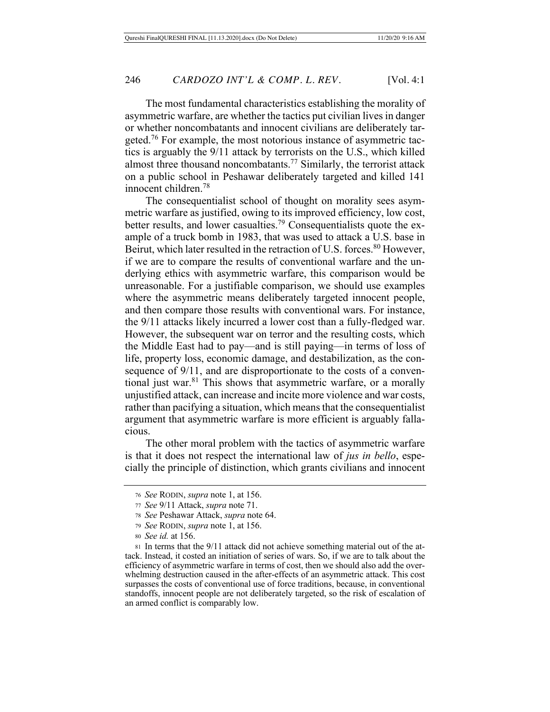The most fundamental characteristics establishing the morality of asymmetric warfare, are whether the tactics put civilian lives in danger or whether noncombatants and innocent civilians are deliberately targeted.<sup>76</sup> For example, the most notorious instance of asymmetric tactics is arguably the 9/11 attack by terrorists on the U.S., which killed almost three thousand noncombatants.<sup>77</sup> Similarly, the terrorist attack on a public school in Peshawar deliberately targeted and killed 141 innocent children.78

The consequentialist school of thought on morality sees asymmetric warfare as justified, owing to its improved efficiency, low cost, better results, and lower casualties.<sup>79</sup> Consequentialists quote the example of a truck bomb in 1983, that was used to attack a U.S. base in Beirut, which later resulted in the retraction of U.S. forces.<sup>80</sup> However, if we are to compare the results of conventional warfare and the underlying ethics with asymmetric warfare, this comparison would be unreasonable. For a justifiable comparison, we should use examples where the asymmetric means deliberately targeted innocent people, and then compare those results with conventional wars. For instance, the 9/11 attacks likely incurred a lower cost than a fully-fledged war. However, the subsequent war on terror and the resulting costs, which the Middle East had to pay—and is still paying—in terms of loss of life, property loss, economic damage, and destabilization, as the consequence of 9/11, and are disproportionate to the costs of a conventional just war.81 This shows that asymmetric warfare, or a morally unjustified attack, can increase and incite more violence and war costs, rather than pacifying a situation, which means that the consequentialist argument that asymmetric warfare is more efficient is arguably fallacious.

The other moral problem with the tactics of asymmetric warfare is that it does not respect the international law of *jus in bello*, especially the principle of distinction, which grants civilians and innocent

<sup>76</sup> *See* RODIN, *supra* note 1, at 156.

<sup>77</sup> *See* 9/11 Attack, *supra* note 71.

<sup>78</sup> *See* Peshawar Attack, *supra* note 64.

<sup>79</sup> *See* RODIN, *supra* note 1, at 156.

<sup>80</sup> *See id.* at 156.

<sup>81</sup> In terms that the 9/11 attack did not achieve something material out of the attack. Instead, it costed an initiation of series of wars. So, if we are to talk about the efficiency of asymmetric warfare in terms of cost, then we should also add the overwhelming destruction caused in the after-effects of an asymmetric attack. This cost surpasses the costs of conventional use of force traditions, because, in conventional standoffs, innocent people are not deliberately targeted, so the risk of escalation of an armed conflict is comparably low.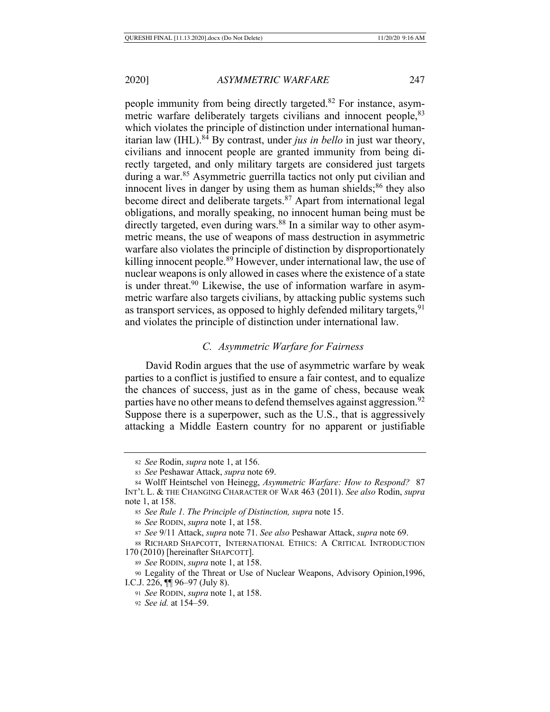people immunity from being directly targeted.82 For instance, asymmetric warfare deliberately targets civilians and innocent people, <sup>83</sup> which violates the principle of distinction under international humanitarian law (IHL).<sup>84</sup> By contrast, under *jus in bello* in just war theory, civilians and innocent people are granted immunity from being directly targeted, and only military targets are considered just targets during a war.<sup>85</sup> Asymmetric guerrilla tactics not only put civilian and innocent lives in danger by using them as human shields; $86$  they also become direct and deliberate targets.<sup>87</sup> Apart from international legal obligations, and morally speaking, no innocent human being must be directly targeted, even during wars.<sup>88</sup> In a similar way to other asymmetric means, the use of weapons of mass destruction in asymmetric warfare also violates the principle of distinction by disproportionately killing innocent people.<sup>89</sup> However, under international law, the use of nuclear weapons is only allowed in cases where the existence of a state is under threat.90 Likewise, the use of information warfare in asymmetric warfare also targets civilians, by attacking public systems such as transport services, as opposed to highly defended military targets,  $91$ and violates the principle of distinction under international law.

## *C. Asymmetric Warfare for Fairness*

David Rodin argues that the use of asymmetric warfare by weak parties to a conflict is justified to ensure a fair contest, and to equalize the chances of success, just as in the game of chess, because weak parties have no other means to defend themselves against aggression.<sup>92</sup> Suppose there is a superpower, such as the U.S., that is aggressively attacking a Middle Eastern country for no apparent or justifiable

<sup>82</sup> *See* Rodin, *supra* note 1, at 156.

<sup>83</sup> *See* Peshawar Attack, *supra* note 69.

<sup>84</sup> Wolff Heintschel von Heinegg, *Asymmetric Warfare: How to Respond?* 87 INT'L L. & THE CHANGING CHARACTER OF WAR 463 (2011). *See also* Rodin, *supra* note 1, at 158.

<sup>85</sup> *See Rule 1. The Principle of Distinction, supra* note 15.

<sup>86</sup> *See* RODIN, *supra* note 1, at 158.

<sup>87</sup> *See* 9/11 Attack, *supra* note 71. *See also* Peshawar Attack, *supra* note 69.

<sup>88</sup> RICHARD SHAPCOTT, INTERNATIONAL ETHICS: A CRITICAL INTRODUCTION 170 (2010) [hereinafter SHAPCOTT].

<sup>89</sup> *See* RODIN, *supra* note 1, at 158.

<sup>90</sup> Legality of the Threat or Use of Nuclear Weapons, Advisory Opinion,1996, I.C.J. 226, ¶¶ 96–97 (July 8).

<sup>91</sup> *See* RODIN, *supra* note 1, at 158.

<sup>92</sup> *See id.* at 154–59.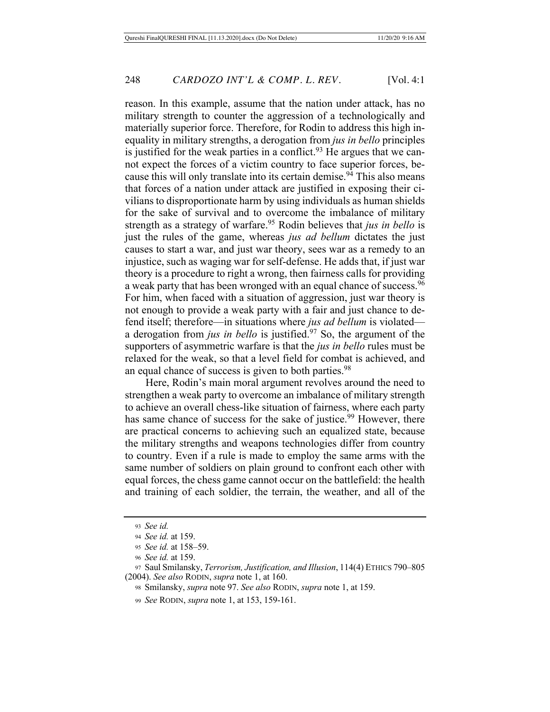reason. In this example, assume that the nation under attack, has no military strength to counter the aggression of a technologically and materially superior force. Therefore, for Rodin to address this high inequality in military strengths, a derogation from *jus in bello* principles is justified for the weak parties in a conflict. $93$  He argues that we cannot expect the forces of a victim country to face superior forces, because this will only translate into its certain demise.<sup>94</sup> This also means that forces of a nation under attack are justified in exposing their civilians to disproportionate harm by using individuals as human shields for the sake of survival and to overcome the imbalance of military strength as a strategy of warfare.<sup>95</sup> Rodin believes that *jus in bello* is just the rules of the game, whereas *jus ad bellum* dictates the just causes to start a war, and just war theory, sees war as a remedy to an injustice, such as waging war for self-defense. He adds that, if just war theory is a procedure to right a wrong, then fairness calls for providing a weak party that has been wronged with an equal chance of success.<sup>96</sup> For him, when faced with a situation of aggression, just war theory is not enough to provide a weak party with a fair and just chance to defend itself; therefore—in situations where *jus ad bellum* is violated a derogation from *jus in bello* is justified.97 So, the argument of the supporters of asymmetric warfare is that the *jus in bello* rules must be relaxed for the weak, so that a level field for combat is achieved, and an equal chance of success is given to both parties.<sup>98</sup>

Here, Rodin's main moral argument revolves around the need to strengthen a weak party to overcome an imbalance of military strength to achieve an overall chess-like situation of fairness, where each party has same chance of success for the sake of justice.<sup>99</sup> However, there are practical concerns to achieving such an equalized state, because the military strengths and weapons technologies differ from country to country. Even if a rule is made to employ the same arms with the same number of soldiers on plain ground to confront each other with equal forces, the chess game cannot occur on the battlefield: the health and training of each soldier, the terrain, the weather, and all of the

<sup>93</sup> *See id.*

<sup>94</sup> *See id.* at 159.

<sup>95</sup> *See id.* at 158–59.

<sup>96</sup> *See id.* at 159.

<sup>97</sup> Saul Smilansky, *Terrorism, Justification, and Illusion*, 114(4) ETHICS 790–805 (2004). *See also* RODIN, *supra* note 1, at 160.

<sup>98</sup> Smilansky, *supra* note 97. *See also* RODIN, *supra* note 1, at 159.

<sup>99</sup> *See* RODIN, *supra* note 1, at 153, 159-161.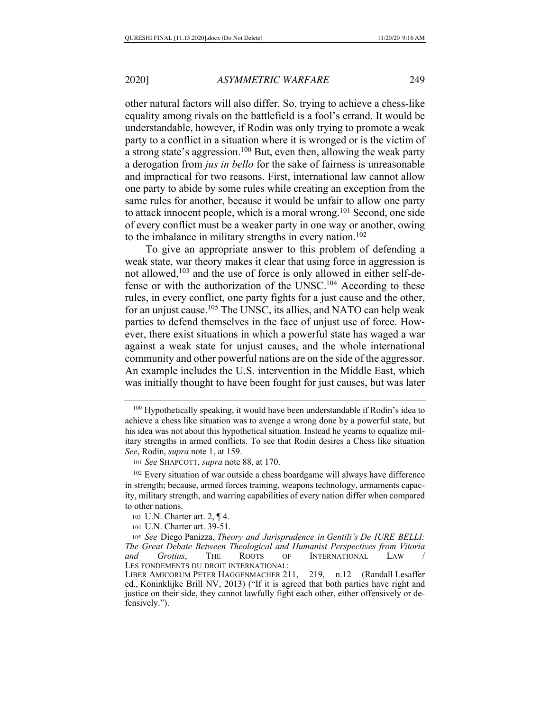other natural factors will also differ. So, trying to achieve a chess-like equality among rivals on the battlefield is a fool's errand. It would be understandable, however, if Rodin was only trying to promote a weak party to a conflict in a situation where it is wronged or is the victim of a strong state's aggression.100 But, even then, allowing the weak party a derogation from *jus in bello* for the sake of fairness is unreasonable and impractical for two reasons. First, international law cannot allow one party to abide by some rules while creating an exception from the same rules for another, because it would be unfair to allow one party to attack innocent people, which is a moral wrong.<sup>101</sup> Second, one side of every conflict must be a weaker party in one way or another, owing to the imbalance in military strengths in every nation.<sup>102</sup>

To give an appropriate answer to this problem of defending a weak state, war theory makes it clear that using force in aggression is not allowed,103 and the use of force is only allowed in either self-defense or with the authorization of the UNSC.104 According to these rules, in every conflict, one party fights for a just cause and the other, for an unjust cause.<sup>105</sup> The UNSC, its allies, and NATO can help weak parties to defend themselves in the face of unjust use of force. However, there exist situations in which a powerful state has waged a war against a weak state for unjust causes, and the whole international community and other powerful nations are on the side of the aggressor. An example includes the U.S. intervention in the Middle East, which was initially thought to have been fought for just causes, but was later

<sup>&</sup>lt;sup>100</sup> Hypothetically speaking, it would have been understandable if Rodin's idea to achieve a chess like situation was to avenge a wrong done by a powerful state, but his idea was not about this hypothetical situation. Instead he yearns to equalize military strengths in armed conflicts. To see that Rodin desires a Chess like situation *See*, Rodin, *supra* note 1, at 159.

<sup>101</sup> *See* SHAPCOTT, *supra* note 88, at 170.

<sup>&</sup>lt;sup>102</sup> Every situation of war outside a chess boardgame will always have difference in strength; because, armed forces training, weapons technology, armaments capacity, military strength, and warring capabilities of every nation differ when compared to other nations.

<sup>103</sup> U.N. Charter art. 2, ¶ 4.

<sup>104</sup> U.N. Charter art. 39-51.

<sup>105</sup> *See* Diego Panizza, *Theory and Jurisprudence in Gentili's De IURE BELLI: The Great Debate Between Theological and Humanist Perspectives from Vitoria and Grotius*, THE ROOTS OF INTERNATIONAL LAW / LES FONDEMENTS DU DROIT INTERNATIONAL:

LIBER AMICORUM PETER HAGGENMACHER 211, 219, n.12 (Randall Lesaffer ed., Koninklijke Brill NV, 2013) ("If it is agreed that both parties have right and justice on their side, they cannot lawfully fight each other, either offensively or defensively.").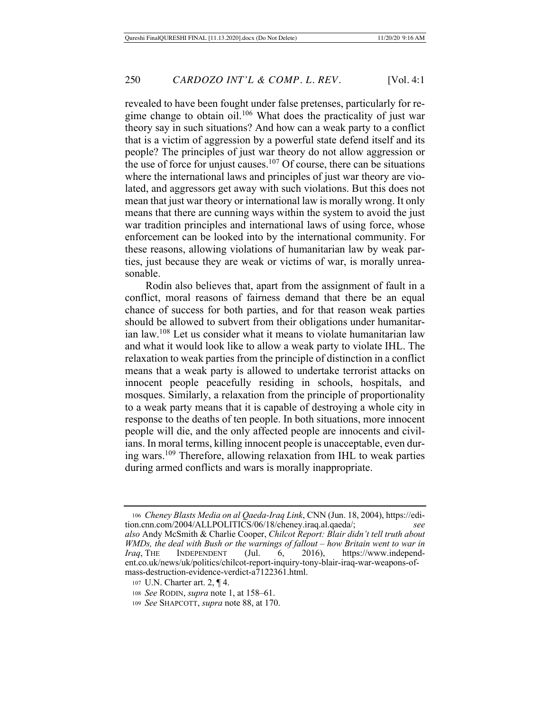revealed to have been fought under false pretenses, particularly for regime change to obtain oil.<sup>106</sup> What does the practicality of just war theory say in such situations? And how can a weak party to a conflict that is a victim of aggression by a powerful state defend itself and its people? The principles of just war theory do not allow aggression or the use of force for unjust causes.<sup>107</sup> Of course, there can be situations where the international laws and principles of just war theory are violated, and aggressors get away with such violations. But this does not mean that just war theory or international law is morally wrong. It only means that there are cunning ways within the system to avoid the just war tradition principles and international laws of using force, whose enforcement can be looked into by the international community. For these reasons, allowing violations of humanitarian law by weak parties, just because they are weak or victims of war, is morally unreasonable.

Rodin also believes that, apart from the assignment of fault in a conflict, moral reasons of fairness demand that there be an equal chance of success for both parties, and for that reason weak parties should be allowed to subvert from their obligations under humanitarian law.108 Let us consider what it means to violate humanitarian law and what it would look like to allow a weak party to violate IHL. The relaxation to weak parties from the principle of distinction in a conflict means that a weak party is allowed to undertake terrorist attacks on innocent people peacefully residing in schools, hospitals, and mosques. Similarly, a relaxation from the principle of proportionality to a weak party means that it is capable of destroying a whole city in response to the deaths of ten people. In both situations, more innocent people will die, and the only affected people are innocents and civilians. In moral terms, killing innocent people is unacceptable, even during wars.109 Therefore, allowing relaxation from IHL to weak parties during armed conflicts and wars is morally inappropriate.

<sup>106</sup> *Cheney Blasts Media on al Qaeda-Iraq Link*, CNN (Jun. 18, 2004), https://edition.cnn.com/2004/ALLPOLITICS/06/18/cheney.iraq.al.qaeda/; *also* Andy McSmith & Charlie Cooper, *Chilcot Report: Blair didn't tell truth about WMDs, the deal with Bush or the warnings of fallout – how Britain went to war in Iraq*, THE INDEPENDENT (Jul. 6, 2016), https://www.independent.co.uk/news/uk/politics/chilcot-report-inquiry-tony-blair-iraq-war-weapons-ofmass-destruction-evidence-verdict-a7122361.html.

<sup>107</sup> U.N. Charter art. 2, ¶ 4.

<sup>108</sup> *See* RODIN, *supra* note 1, at 158–61.

<sup>109</sup> *See* SHAPCOTT, *supra* note 88, at 170.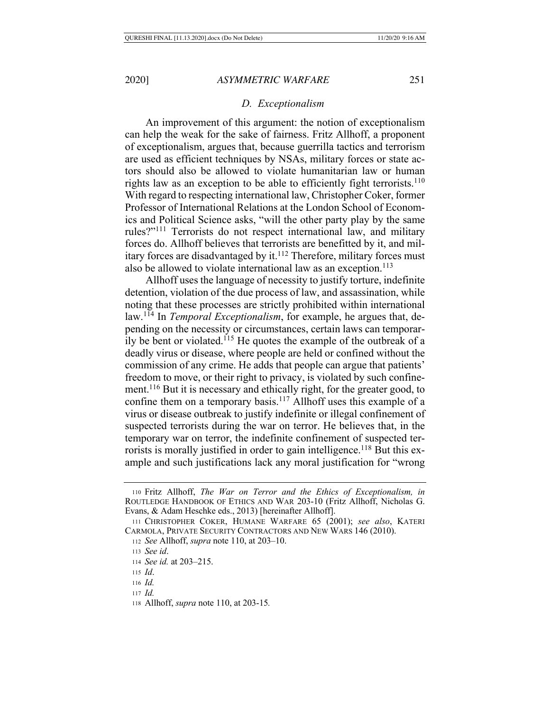#### *D. Exceptionalism*

An improvement of this argument: the notion of exceptionalism can help the weak for the sake of fairness. Fritz Allhoff, a proponent of exceptionalism, argues that, because guerrilla tactics and terrorism are used as efficient techniques by NSAs, military forces or state actors should also be allowed to violate humanitarian law or human rights law as an exception to be able to efficiently fight terrorists.<sup>110</sup> With regard to respecting international law, Christopher Coker, former Professor of International Relations at the London School of Economics and Political Science asks, "will the other party play by the same rules?"111 Terrorists do not respect international law, and military forces do. Allhoff believes that terrorists are benefitted by it, and military forces are disadvantaged by it.<sup>112</sup> Therefore, military forces must also be allowed to violate international law as an exception.<sup>113</sup>

Allhoff uses the language of necessity to justify torture, indefinite detention, violation of the due process of law, and assassination, while noting that these processes are strictly prohibited within international law.114 In *Temporal Exceptionalism*, for example, he argues that, depending on the necessity or circumstances, certain laws can temporarily be bent or violated.115 He quotes the example of the outbreak of a deadly virus or disease, where people are held or confined without the commission of any crime. He adds that people can argue that patients' freedom to move, or their right to privacy, is violated by such confinement.116 But it is necessary and ethically right, for the greater good, to confine them on a temporary basis.<sup>117</sup> Allhoff uses this example of a virus or disease outbreak to justify indefinite or illegal confinement of suspected terrorists during the war on terror. He believes that, in the temporary war on terror, the indefinite confinement of suspected terrorists is morally justified in order to gain intelligence.<sup>118</sup> But this example and such justifications lack any moral justification for "wrong

<sup>115</sup> *Id*.

<sup>117</sup> *Id.*

<sup>110</sup> Fritz Allhoff, *The War on Terror and the Ethics of Exceptionalism, in*  ROUTLEDGE HANDBOOK OF ETHICS AND WAR 203-10 (Fritz Allhoff, Nicholas G. Evans, & Adam Heschke eds., 2013) [hereinafter Allhoff].

<sup>111</sup> CHRISTOPHER COKER, HUMANE WARFARE 65 (2001); *see also*, KATERI CARMOLA, PRIVATE SECURITY CONTRACTORS AND NEW WARS 146 (2010).

<sup>112</sup> *See* Allhoff, *supra* note 110, at 203–10.

<sup>113</sup> *See id*.

<sup>114</sup> *See id.* at 203–215.

<sup>116</sup> *Id.*

<sup>118</sup> Allhoff, *supra* note 110, at 203-15*.*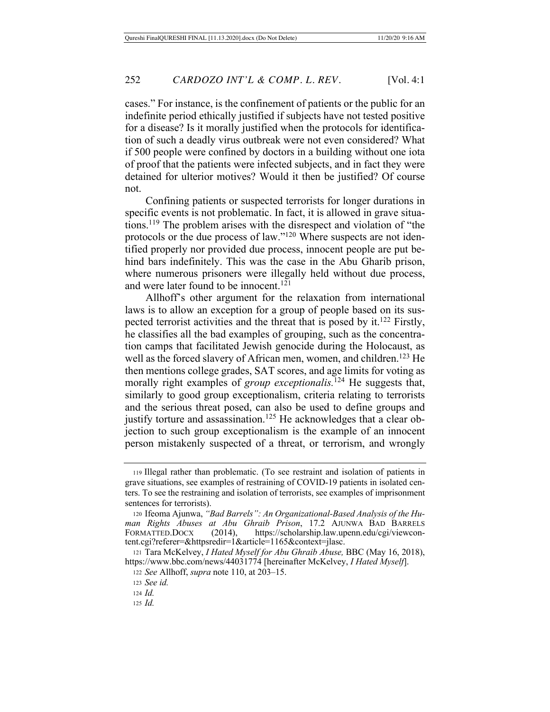cases." For instance, is the confinement of patients or the public for an indefinite period ethically justified if subjects have not tested positive for a disease? Is it morally justified when the protocols for identification of such a deadly virus outbreak were not even considered? What if 500 people were confined by doctors in a building without one iota of proof that the patients were infected subjects, and in fact they were detained for ulterior motives? Would it then be justified? Of course not.

Confining patients or suspected terrorists for longer durations in specific events is not problematic. In fact, it is allowed in grave situations.119 The problem arises with the disrespect and violation of "the protocols or the due process of law."120 Where suspects are not identified properly nor provided due process, innocent people are put behind bars indefinitely. This was the case in the Abu Gharib prison, where numerous prisoners were illegally held without due process, and were later found to be innocent.<sup>121</sup>

Allhoff's other argument for the relaxation from international laws is to allow an exception for a group of people based on its suspected terrorist activities and the threat that is posed by it.<sup>122</sup> Firstly, he classifies all the bad examples of grouping, such as the concentration camps that facilitated Jewish genocide during the Holocaust, as well as the forced slavery of African men, women, and children.<sup>123</sup> He then mentions college grades, SAT scores, and age limits for voting as morally right examples of *group exceptionalis*.<sup>124</sup> He suggests that, similarly to good group exceptionalism, criteria relating to terrorists and the serious threat posed, can also be used to define groups and justify torture and assassination.<sup>125</sup> He acknowledges that a clear objection to such group exceptionalism is the example of an innocent person mistakenly suspected of a threat, or terrorism, and wrongly

<sup>119</sup> Illegal rather than problematic. (To see restraint and isolation of patients in grave situations, see examples of restraining of COVID-19 patients in isolated centers. To see the restraining and isolation of terrorists, see examples of imprisonment sentences for terrorists).

<sup>120</sup> Ifeoma Ajunwa, *"Bad Barrels": An Organizational-Based Analysis of the Human Rights Abuses at Abu Ghraib Prison*, 17.2 AJUNWA BAD BARRELS FORMATTED.DOCX (2014), https://scholarship.law.upenn.edu/cgi/viewcontent.cgi?referer=&httpsredir=1&article=1165&context=jlasc.

<sup>121</sup> Tara McKelvey, *I Hated Myself for Abu Ghraib Abuse,* BBC (May 16, 2018), https://www.bbc.com/news/44031774 [hereinafter McKelvey, *I Hated Myself*].

<sup>122</sup> *See* Allhoff, *supra* note 110, at 203–15.

<sup>123</sup> *See id.* 

<sup>124</sup> *Id.*

<sup>125</sup> *Id.*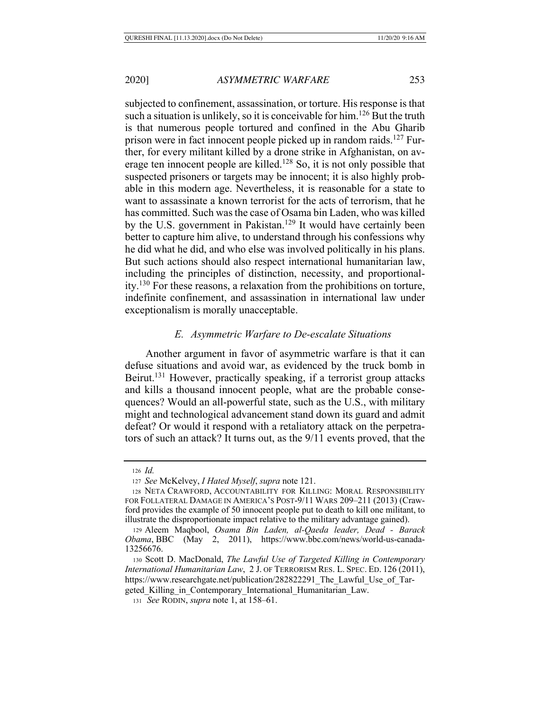subjected to confinement, assassination, or torture. His response is that such a situation is unlikely, so it is conceivable for him.<sup>126</sup> But the truth is that numerous people tortured and confined in the Abu Gharib prison were in fact innocent people picked up in random raids.<sup>127</sup> Further, for every militant killed by a drone strike in Afghanistan, on average ten innocent people are killed.<sup>128</sup> So, it is not only possible that suspected prisoners or targets may be innocent; it is also highly probable in this modern age. Nevertheless, it is reasonable for a state to want to assassinate a known terrorist for the acts of terrorism, that he has committed. Such was the case of Osama bin Laden, who was killed by the U.S. government in Pakistan.<sup>129</sup> It would have certainly been better to capture him alive, to understand through his confessions why he did what he did, and who else was involved politically in his plans. But such actions should also respect international humanitarian law, including the principles of distinction, necessity, and proportionality. 130 For these reasons, a relaxation from the prohibitions on torture, indefinite confinement, and assassination in international law under exceptionalism is morally unacceptable.

## *E. Asymmetric Warfare to De-escalate Situations*

Another argument in favor of asymmetric warfare is that it can defuse situations and avoid war, as evidenced by the truck bomb in Beirut.<sup>131</sup> However, practically speaking, if a terrorist group attacks and kills a thousand innocent people, what are the probable consequences? Would an all-powerful state, such as the U.S., with military might and technological advancement stand down its guard and admit defeat? Or would it respond with a retaliatory attack on the perpetrators of such an attack? It turns out, as the 9/11 events proved, that the

<sup>126</sup> *Id.*

<sup>127</sup> *See* McKelvey, *I Hated Myself*, *supra* note 121.

<sup>128</sup> NETA CRAWFORD, ACCOUNTABILITY FOR KILLING: MORAL RESPONSIBILITY FOR FOLLATERAL DAMAGE IN AMERICA'S POST-9/11 WARS 209–211 (2013) (Crawford provides the example of 50 innocent people put to death to kill one militant, to illustrate the disproportionate impact relative to the military advantage gained).

<sup>129</sup> Aleem Maqbool, *Osama Bin Laden, al-Qaeda leader, Dead - Barack Obama*, BBC (May 2, 2011), https://www.bbc.com/news/world-us-canada-13256676.

<sup>130</sup> Scott D. MacDonald, *The Lawful Use of Targeted Killing in Contemporary International Humanitarian Law*, 2 J. OF TERRORISM RES. L. SPEC. ED. 126 (2011), https://www.researchgate.net/publication/282822291 The Lawful Use of Targeted Killing in Contemporary International Humanitarian Law.

<sup>131</sup> *See* RODIN, *supra* note 1, at 158–61.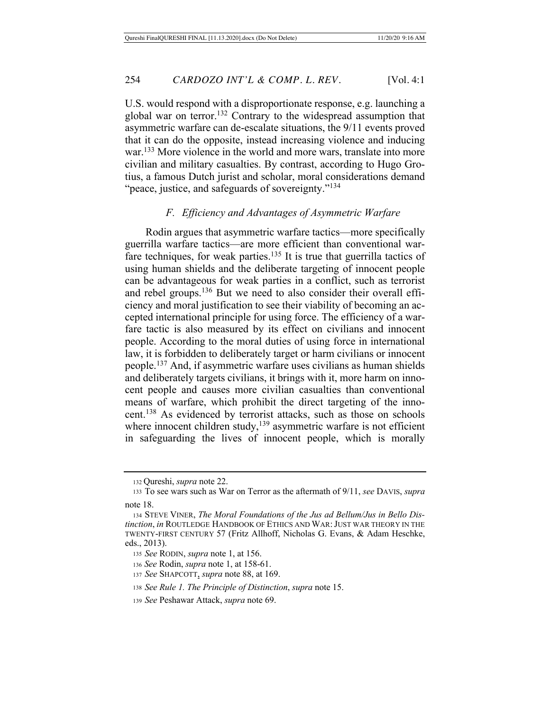U.S. would respond with a disproportionate response, e.g. launching a global war on terror.<sup>132</sup> Contrary to the widespread assumption that asymmetric warfare can de-escalate situations, the 9/11 events proved that it can do the opposite, instead increasing violence and inducing war. 133 More violence in the world and more wars, translate into more civilian and military casualties. By contrast, according to Hugo Grotius, a famous Dutch jurist and scholar, moral considerations demand "peace, justice, and safeguards of sovereignty."<sup>134</sup>

#### *F. Efficiency and Advantages of Asymmetric Warfare*

Rodin argues that asymmetric warfare tactics—more specifically guerrilla warfare tactics—are more efficient than conventional warfare techniques, for weak parties.<sup>135</sup> It is true that guerrilla tactics of using human shields and the deliberate targeting of innocent people can be advantageous for weak parties in a conflict, such as terrorist and rebel groups.136 But we need to also consider their overall efficiency and moral justification to see their viability of becoming an accepted international principle for using force. The efficiency of a warfare tactic is also measured by its effect on civilians and innocent people. According to the moral duties of using force in international law, it is forbidden to deliberately target or harm civilians or innocent people.137 And, if asymmetric warfare uses civilians as human shields and deliberately targets civilians, it brings with it, more harm on innocent people and causes more civilian casualties than conventional means of warfare, which prohibit the direct targeting of the innocent.138 As evidenced by terrorist attacks, such as those on schools where innocent children study,<sup>139</sup> asymmetric warfare is not efficient in safeguarding the lives of innocent people, which is morally

<sup>132</sup> Qureshi, *supra* note 22.

<sup>133</sup> To see wars such as War on Terror as the aftermath of 9/11, *see* DAVIS, *supra* note 18.

<sup>134</sup> STEVE VINER, *The Moral Foundations of the Jus ad Bellum/Jus in Bello Distinction*, *in* ROUTLEDGE HANDBOOK OF ETHICS AND WAR:JUST WAR THEORY IN THE TWENTY-FIRST CENTURY 57 (Fritz Allhoff, Nicholas G. Evans, & Adam Heschke, eds., 2013).

<sup>135</sup> *See* RODIN, *supra* note 1, at 156.

<sup>136</sup> *See* Rodin, *supra* note 1, at 158-61.

<sup>137</sup> *See* SHAPCOTT, *supra* note 88, at 169.

<sup>138</sup> *See Rule 1. The Principle of Distinction*, *supra* note 15.

<sup>139</sup> *See* Peshawar Attack, *supra* note 69.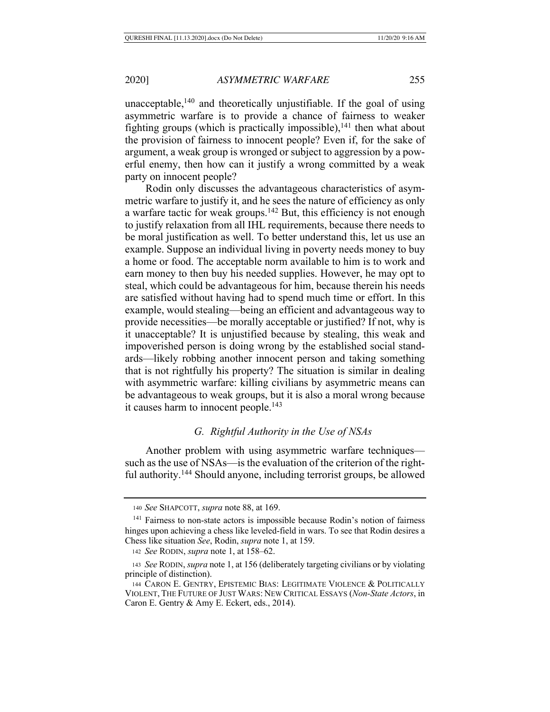unacceptable, $140$  and theoretically unjustifiable. If the goal of using asymmetric warfare is to provide a chance of fairness to weaker fighting groups (which is practically impossible), $^{141}$  then what about the provision of fairness to innocent people? Even if, for the sake of argument, a weak group is wronged or subject to aggression by a powerful enemy, then how can it justify a wrong committed by a weak party on innocent people?

Rodin only discusses the advantageous characteristics of asymmetric warfare to justify it, and he sees the nature of efficiency as only a warfare tactic for weak groups.142 But, this efficiency is not enough to justify relaxation from all IHL requirements, because there needs to be moral justification as well. To better understand this, let us use an example. Suppose an individual living in poverty needs money to buy a home or food. The acceptable norm available to him is to work and earn money to then buy his needed supplies. However, he may opt to steal, which could be advantageous for him, because therein his needs are satisfied without having had to spend much time or effort. In this example, would stealing—being an efficient and advantageous way to provide necessities—be morally acceptable or justified? If not, why is it unacceptable? It is unjustified because by stealing, this weak and impoverished person is doing wrong by the established social standards—likely robbing another innocent person and taking something that is not rightfully his property? The situation is similar in dealing with asymmetric warfare: killing civilians by asymmetric means can be advantageous to weak groups, but it is also a moral wrong because it causes harm to innocent people.<sup>143</sup>

# *G. Rightful Authority in the Use of NSAs*

Another problem with using asymmetric warfare techniques such as the use of NSAs—is the evaluation of the criterion of the rightful authority.144 Should anyone, including terrorist groups, be allowed

<sup>140</sup> *See* SHAPCOTT, *supra* note 88, at 169.

<sup>&</sup>lt;sup>141</sup> Fairness to non-state actors is impossible because Rodin's notion of fairness hinges upon achieving a chess like leveled-field in wars. To see that Rodin desires a Chess like situation *See*, Rodin, *supra* note 1, at 159.

<sup>142</sup> *See* RODIN, *supra* note 1, at 158–62.

<sup>143</sup> *See* RODIN, *supra* note 1, at 156 (deliberately targeting civilians or by violating principle of distinction).

<sup>144</sup> CARON E. GENTRY, EPISTEMIC BIAS: LEGITIMATE VIOLENCE & POLITICALLY VIOLENT, THE FUTURE OF JUST WARS: NEW CRITICAL ESSAYS (*Non-State Actors*, in Caron E. Gentry & Amy E. Eckert, eds., 2014).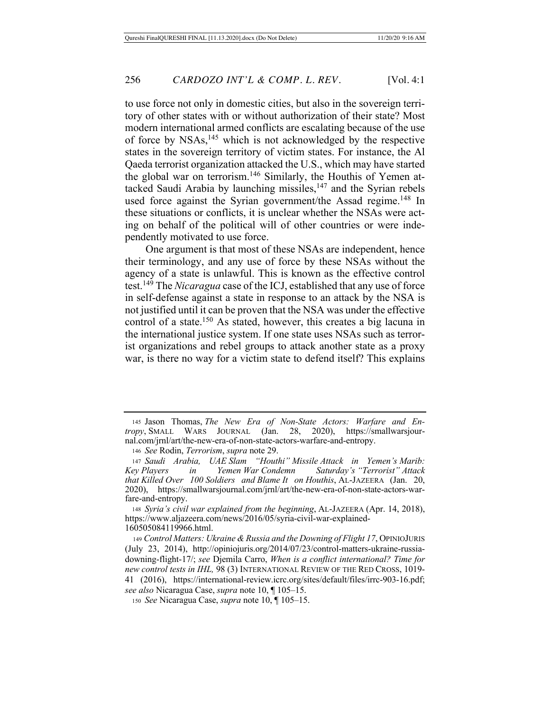to use force not only in domestic cities, but also in the sovereign territory of other states with or without authorization of their state? Most modern international armed conflicts are escalating because of the use of force by NSAs,145 which is not acknowledged by the respective states in the sovereign territory of victim states. For instance, the Al Qaeda terrorist organization attacked the U.S., which may have started the global war on terrorism.<sup>146</sup> Similarly, the Houthis of Yemen attacked Saudi Arabia by launching missiles,<sup>147</sup> and the Syrian rebels used force against the Syrian government/the Assad regime.<sup>148</sup> In these situations or conflicts, it is unclear whether the NSAs were acting on behalf of the political will of other countries or were independently motivated to use force.

One argument is that most of these NSAs are independent, hence their terminology, and any use of force by these NSAs without the agency of a state is unlawful. This is known as the effective control test. 149 The *Nicaragua* case of the ICJ, established that any use of force in self-defense against a state in response to an attack by the NSA is not justified until it can be proven that the NSA was under the effective control of a state.150 As stated, however, this creates a big lacuna in the international justice system. If one state uses NSAs such as terrorist organizations and rebel groups to attack another state as a proxy war, is there no way for a victim state to defend itself? This explains

<sup>146</sup> *See* Rodin, *Terrorism*, *supra* note 29.

<sup>148</sup> *Syria's civil war explained from the beginning*, AL-JAZEERA (Apr. 14, 2018), https://www.aljazeera.com/news/2016/05/syria-civil-war-explained-160505084119966.html.

<sup>149</sup> *Control Matters: Ukraine & Russia and the Downing of Flight 17*, OPINIOJURIS (July 23, 2014), http://opiniojuris.org/2014/07/23/control-matters-ukraine-russiadowning-flight-17/; *see* Djemila Carro, *When is a conflict international? Time for new control tests in IHL,* 98 (3) INTERNATIONAL REVIEW OF THE RED CROSS, 1019- 41 (2016), https://international-review.icrc.org/sites/default/files/irrc-903-16.pdf; *see also* Nicaragua Case, *supra* note 10, ¶ 105–15.

<sup>150</sup> *See* Nicaragua Case, *supra* note 10, ¶ 105–15.

<sup>145</sup> Jason Thomas, *The New Era of Non-State Actors: Warfare and Entropy*, SMALL WARS JOURNAL (Jan. 28, 2020), https://smallwarsjournal.com/jrnl/art/the-new-era-of-non-state-actors-warfare-and-entropy.

<sup>147</sup> *Saudi Arabia, UAE Slam "Houthi" Missile Attack in Yemen's Marib: Key Players in Yemen War Condemn Saturday's "Terrorist" Attack that Killed Over 100 Soldiers and Blame It on Houthis*, AL-JAZEERA (Jan. 20, 2020), https://smallwarsjournal.com/jrnl/art/the-new-era-of-non-state-actors-warfare-and-entropy.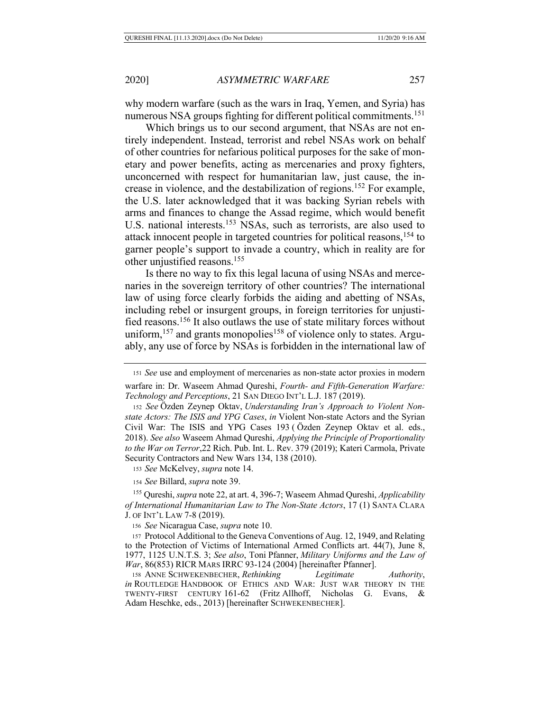why modern warfare (such as the wars in Iraq, Yemen, and Syria) has numerous NSA groups fighting for different political commitments.<sup>151</sup>

Which brings us to our second argument, that NSAs are not entirely independent. Instead, terrorist and rebel NSAs work on behalf of other countries for nefarious political purposes for the sake of monetary and power benefits, acting as mercenaries and proxy fighters, unconcerned with respect for humanitarian law, just cause, the increase in violence, and the destabilization of regions.152 For example, the U.S. later acknowledged that it was backing Syrian rebels with arms and finances to change the Assad regime, which would benefit U.S. national interests.<sup>153</sup> NSAs, such as terrorists, are also used to attack innocent people in targeted countries for political reasons,154 to garner people's support to invade a country, which in reality are for other unjustified reasons.155

Is there no way to fix this legal lacuna of using NSAs and mercenaries in the sovereign territory of other countries? The international law of using force clearly forbids the aiding and abetting of NSAs, including rebel or insurgent groups, in foreign territories for unjustified reasons.156 It also outlaws the use of state military forces without uniform,<sup>157</sup> and grants monopolies<sup>158</sup> of violence only to states. Arguably, any use of force by NSAs is forbidden in the international law of

<sup>152</sup> *See* Özden Zeynep Oktav, *Understanding Iran's Approach to Violent Nonstate Actors: The ISIS and YPG Cases*, *in* Violent Non-state Actors and the Syrian Civil War: The ISIS and YPG Cases 193 ( Özden Zeynep Oktav et al. eds., 2018). *See also* Waseem Ahmad Qureshi, *Applying the Principle of Proportionality to the War on Terror*,22 Rich. Pub. Int. L. Rev. 379 (2019); Kateri Carmola, Private Security Contractors and New Wars 134, 138 (2010).

<sup>153</sup> *See* McKelvey, *supra* note 14.

<sup>154</sup> *See* Billard, *supra* note 39.

<sup>155</sup> Qureshi, *supra* note 22, at art. 4, 396-7; Waseem Ahmad Qureshi, *Applicability of International Humanitarian Law to The Non-State Actors*, 17 (1) SANTA CLARA J. OF INT'L LAW 7-8 (2019).

<sup>156</sup> *See* Nicaragua Case, *supra* note 10.

<sup>157</sup> Protocol Additional to the Geneva Conventions of Aug. 12, 1949, and Relating to the Protection of Victims of International Armed Conflicts art. 44(7), June 8, 1977, 1125 U.N.T.S. 3; *See also*, Toni Pfanner, *Military Uniforms and the Law of War*, 86(853) RICR MARS IRRC 93-124 (2004) [hereinafter Pfanner].

158 ANNE SCHWEKENBECHER, *Rethinking Legitimate Authority*, *in* ROUTLEDGE HANDBOOK OF ETHICS AND WAR: JUST WAR THEORY IN THE TWENTY-FIRST CENTURY 161-62 (Fritz Allhoff, Nicholas G. Evans, & Adam Heschke, eds., 2013) [hereinafter SCHWEKENBECHER].

<sup>151</sup> *See* use and employment of mercenaries as non-state actor proxies in modern warfare in: Dr. Waseem Ahmad Qureshi, *Fourth- and Fifth-Generation Warfare: Technology and Perceptions*, 21 SAN DIEGO INT'L L.J. 187 (2019).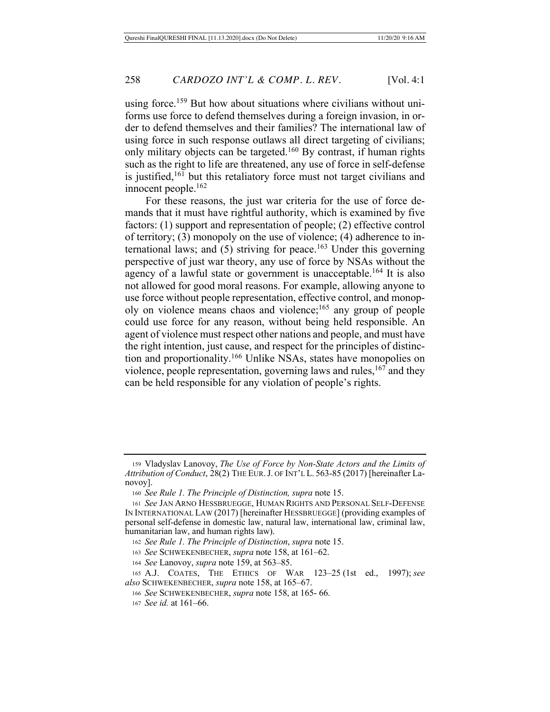using force.<sup>159</sup> But how about situations where civilians without uniforms use force to defend themselves during a foreign invasion, in order to defend themselves and their families? The international law of using force in such response outlaws all direct targeting of civilians; only military objects can be targeted.160 By contrast, if human rights such as the right to life are threatened, any use of force in self-defense is justified, $161$  but this retaliatory force must not target civilians and innocent people.162

For these reasons, the just war criteria for the use of force demands that it must have rightful authority, which is examined by five factors: (1) support and representation of people; (2) effective control of territory; (3) monopoly on the use of violence; (4) adherence to international laws; and  $(5)$  striving for peace.<sup>163</sup> Under this governing perspective of just war theory, any use of force by NSAs without the agency of a lawful state or government is unacceptable.<sup>164</sup> It is also not allowed for good moral reasons. For example, allowing anyone to use force without people representation, effective control, and monopoly on violence means chaos and violence;<sup>165</sup> any group of people could use force for any reason, without being held responsible. An agent of violence must respect other nations and people, and must have the right intention, just cause, and respect for the principles of distinction and proportionality.<sup>166</sup> Unlike NSAs, states have monopolies on violence, people representation, governing laws and rules,  $167$  and they can be held responsible for any violation of people's rights.

<sup>164</sup> *See* Lanovoy, *supra* note 159, at 563–85.

<sup>159</sup> Vladyslav Lanovoy, *The Use of Force by Non-State Actors and the Limits of Attribution of Conduct*, 28(2) THE EUR.J. OF INT'L L. 563-85 (2017) [hereinafter Lanovoy].

<sup>160</sup> *See Rule 1. The Principle of Distinction, supra* note 15.

<sup>161</sup> *See* JAN ARNO HESSBRUEGGE, HUMAN RIGHTS AND PERSONAL SELF-DEFENSE IN INTERNATIONAL LAW (2017) [hereinafter HESSBRUEGGE] (providing examples of personal self-defense in domestic law, natural law, international law, criminal law, humanitarian law, and human rights law).

<sup>162</sup> *See Rule 1. The Principle of Distinction*, *supra* note 15.

<sup>163</sup> *See* SCHWEKENBECHER, *supra* note 158, at 161–62.

<sup>165</sup> A.J. COATES, THE ETHICS OF WAR 123–25 (1st ed., 1997); *see also* SCHWEKENBECHER, *supra* note 158, at 165–67.

<sup>166</sup> *See* SCHWEKENBECHER, *supra* note 158, at 165- 66.

<sup>167</sup> *See id.* at 161–66.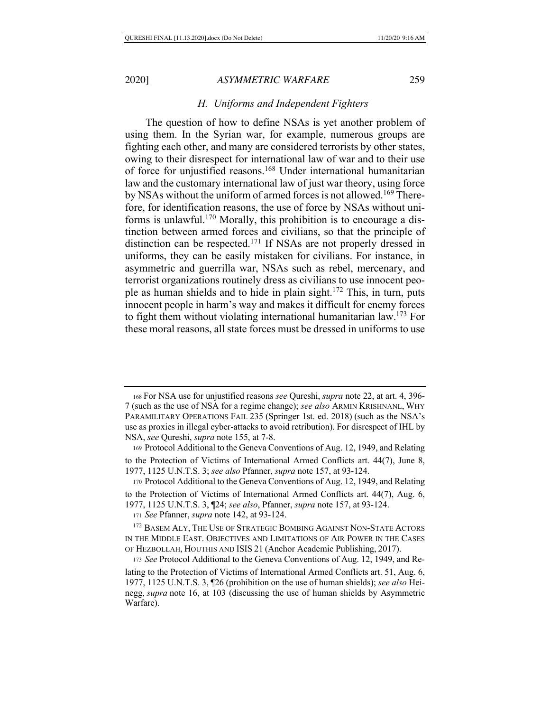### *H. Uniforms and Independent Fighters*

The question of how to define NSAs is yet another problem of using them. In the Syrian war, for example, numerous groups are fighting each other, and many are considered terrorists by other states, owing to their disrespect for international law of war and to their use of force for unjustified reasons.168 Under international humanitarian law and the customary international law of just war theory, using force by NSAs without the uniform of armed forces is not allowed.<sup>169</sup> Therefore, for identification reasons, the use of force by NSAs without uniforms is unlawful.170 Morally, this prohibition is to encourage a distinction between armed forces and civilians, so that the principle of distinction can be respected.171 If NSAs are not properly dressed in uniforms, they can be easily mistaken for civilians. For instance, in asymmetric and guerrilla war, NSAs such as rebel, mercenary, and terrorist organizations routinely dress as civilians to use innocent people as human shields and to hide in plain sight.172 This, in turn, puts innocent people in harm's way and makes it difficult for enemy forces to fight them without violating international humanitarian  $law<sup>173</sup>$  For these moral reasons, all state forces must be dressed in uniforms to use

<sup>169</sup> Protocol Additional to the Geneva Conventions of Aug. 12, 1949, and Relating to the Protection of Victims of International Armed Conflicts art. 44(7), June 8, 1977, 1125 U.N.T.S. 3; *see also* Pfanner, *supra* note 157, at 93-124.

<sup>170</sup> Protocol Additional to the Geneva Conventions of Aug. 12, 1949, and Relating

to the Protection of Victims of International Armed Conflicts art. 44(7), Aug. 6, 1977, 1125 U.N.T.S. 3, ¶24; *see also*, Pfanner, *supra* note 157, at 93-124.

<sup>171</sup> *See* Pfanner, *supra* note 142, at 93-124.

<sup>172</sup> BASEM ALY, THE USE OF STRATEGIC BOMBING AGAINST NON-STATE ACTORS IN THE MIDDLE EAST. OBJECTIVES AND LIMITATIONS OF AIR POWER IN THE CASES OF HEZBOLLAH, HOUTHIS AND ISIS 21 (Anchor Academic Publishing, 2017).

<sup>173</sup> *See* Protocol Additional to the Geneva Conventions of Aug. 12, 1949, and Relating to the Protection of Victims of International Armed Conflicts art. 51, Aug. 6, 1977, 1125 U.N.T.S. 3, ¶26 (prohibition on the use of human shields); *see also* Heinegg, *supra* note 16, at 103 (discussing the use of human shields by Asymmetric Warfare).

<sup>168</sup> For NSA use for unjustified reasons *see* Qureshi, *supra* note 22, at art. 4, 396- 7 (such as the use of NSA for a regime change); *see also* ARMIN KRISHNANL, WHY PARAMILITARY OPERATIONS FAIL 235 (Springer 1st. ed. 2018) (such as the NSA's use as proxies in illegal cyber-attacks to avoid retribution). For disrespect of IHL by NSA, *see* Qureshi, *supra* note 155, at 7-8.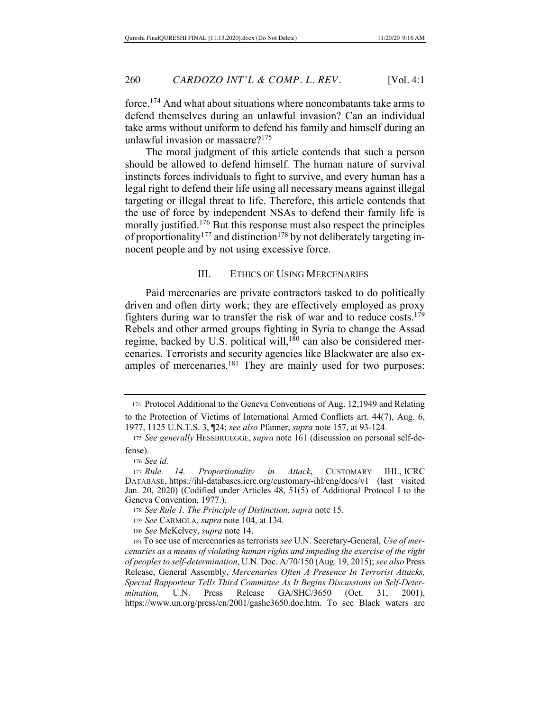force.174 And what about situations where noncombatants take arms to defend themselves during an unlawful invasion? Can an individual take arms without uniform to defend his family and himself during an unlawful invasion or massacre? $175$ 

The moral judgment of this article contends that such a person should be allowed to defend himself. The human nature of survival instincts forces individuals to fight to survive, and every human has a legal right to defend their life using all necessary means against illegal targeting or illegal threat to life. Therefore, this article contends that the use of force by independent NSAs to defend their family life is morally justified.<sup>176</sup> But this response must also respect the principles of proportionality<sup>177</sup> and distinction<sup>178</sup> by not deliberately targeting innocent people and by not using excessive force.

### III. ETHICS OF USING MERCENARIES

Paid mercenaries are private contractors tasked to do politically driven and often dirty work; they are effectively employed as proxy fighters during war to transfer the risk of war and to reduce costs.<sup>179</sup> Rebels and other armed groups fighting in Syria to change the Assad regime, backed by U.S. political will,<sup>180</sup> can also be considered mercenaries. Terrorists and security agencies like Blackwater are also examples of mercenaries.181 They are mainly used for two purposes:

<sup>174</sup> Protocol Additional to the Geneva Conventions of Aug. 12,1949 and Relating to the Protection of Victims of International Armed Conflicts art. 44(7), Aug. 6, 1977, 1125 U.N.T.S. 3, ¶24; *see also* Pfanner, *supra* note 157, at 93-124.

<sup>175</sup> *See generally* HESSBRUEGGE, *supra* note 161 (discussion on personal self-defense).

<sup>176</sup> *See id.*

<sup>177</sup> *Rule 14. Proportionality in Attack*, CUSTOMARY IHL, ICRC DATABASE, https://ihl-databases.icrc.org/customary-ihl/eng/docs/v1 (last visited Jan. 20, 2020) (Codified under Articles 48, 51(5) of Additional Protocol I to the Geneva Convention, 1977.).

<sup>178</sup> *See Rule 1. The Principle of Distinction*, *supra* note 15.

<sup>179</sup> *See* CARMOLA, *supra* note 104, at 134.

<sup>180</sup> *See* McKelvey, *supra* note 14.

<sup>181</sup> To see use of mercenaries as terrorists *see* U.N. Secretary-General, *Use of mercenaries as a means of violating human rights and impeding the exercise of the right of peoples to self-determination*, U.N. Doc. A/70/150 (Aug. 19, 2015); *see also* Press Release, General Assembly, *Mercenaries Often A Presence In Terrorist Attacks, Special Rapporteur Tells Third Committee As It Begins Discussions on Self-Determination,* U.N. Press Release GA/SHC/3650 (Oct. 31, 2001), https://www.un.org/press/en/2001/gashc3650.doc.htm. To see Black waters are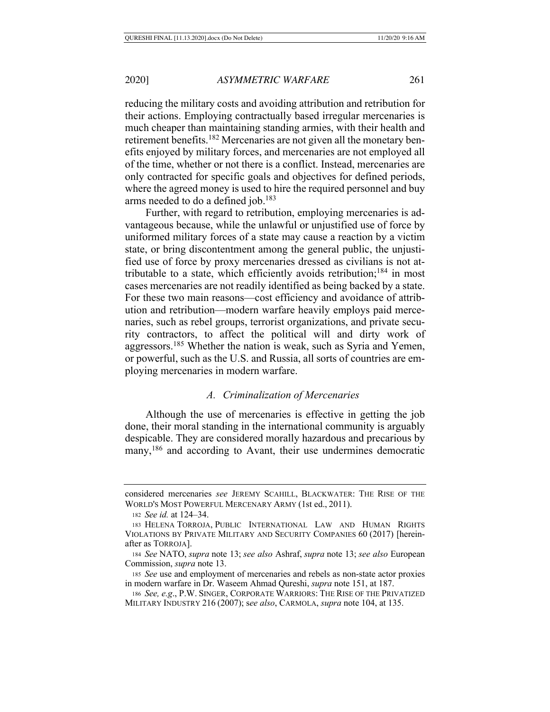reducing the military costs and avoiding attribution and retribution for their actions. Employing contractually based irregular mercenaries is much cheaper than maintaining standing armies, with their health and retirement benefits.<sup>182</sup> Mercenaries are not given all the monetary benefits enjoyed by military forces, and mercenaries are not employed all of the time, whether or not there is a conflict. Instead, mercenaries are only contracted for specific goals and objectives for defined periods, where the agreed money is used to hire the required personnel and buy arms needed to do a defined job.<sup>183</sup>

Further, with regard to retribution, employing mercenaries is advantageous because, while the unlawful or unjustified use of force by uniformed military forces of a state may cause a reaction by a victim state, or bring discontentment among the general public, the unjustified use of force by proxy mercenaries dressed as civilians is not attributable to a state, which efficiently avoids retribution;<sup>184</sup> in most cases mercenaries are not readily identified as being backed by a state. For these two main reasons—cost efficiency and avoidance of attribution and retribution—modern warfare heavily employs paid mercenaries, such as rebel groups, terrorist organizations, and private security contractors, to affect the political will and dirty work of aggressors.185 Whether the nation is weak, such as Syria and Yemen, or powerful, such as the U.S. and Russia, all sorts of countries are employing mercenaries in modern warfare.

## *A. Criminalization of Mercenaries*

Although the use of mercenaries is effective in getting the job done, their moral standing in the international community is arguably despicable. They are considered morally hazardous and precarious by many,<sup>186</sup> and according to Avant, their use undermines democratic

considered mercenaries *see* JEREMY SCAHILL, BLACKWATER: THE RISE OF THE WORLD'S MOST POWERFUL MERCENARY ARMY (1st ed., 2011).

<sup>182</sup> *See id.* at 124–34.

<sup>183</sup> HELENA TORROJA, PUBLIC INTERNATIONAL LAW AND HUMAN RIGHTS VIOLATIONS BY PRIVATE MILITARY AND SECURITY COMPANIES 60 (2017) [hereinafter as TORROJA].

<sup>184</sup> *See* NATO, *supra* note 13; *see also* Ashraf, *supra* note 13; *see also* European Commission, *supra* note 13.

<sup>185</sup> *See* use and employment of mercenaries and rebels as non-state actor proxies in modern warfare in Dr. Waseem Ahmad Qureshi, *supra* note 151, at 187.

<sup>186</sup> *See, e.g*., P.W. SINGER, CORPORATE WARRIORS: THE RISE OF THE PRIVATIZED MILITARY INDUSTRY 216 (2007); s*ee also*, CARMOLA, *supra* note 104, at 135.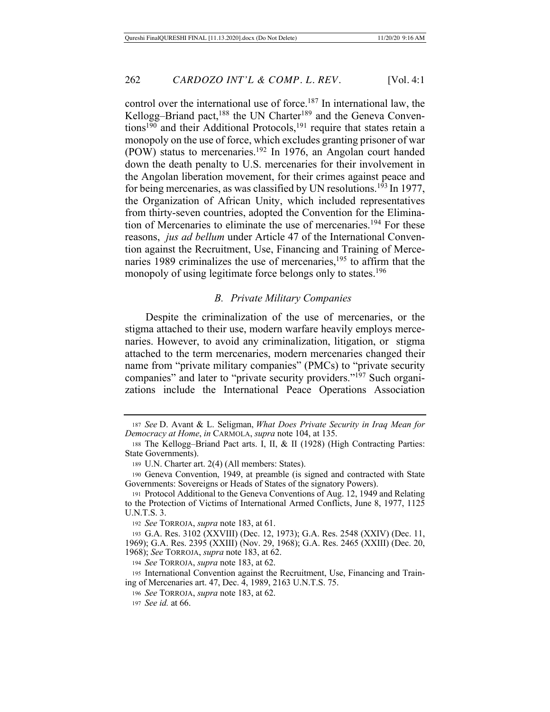control over the international use of force.<sup>187</sup> In international law, the Kellogg–Briand pact,<sup>188</sup> the UN Charter<sup>189</sup> and the Geneva Conventions<sup>190</sup> and their Additional Protocols,<sup>191</sup> require that states retain a monopoly on the use of force, which excludes granting prisoner of war (POW) status to mercenaries.192 In 1976, an Angolan court handed down the death penalty to U.S. mercenaries for their involvement in the Angolan liberation movement, for their crimes against peace and for being mercenaries, as was classified by UN resolutions.<sup>193</sup> In 1977, the Organization of African Unity, which included representatives from thirty-seven countries, adopted the Convention for the Elimination of Mercenaries to eliminate the use of mercenaries.194 For these reasons, *jus ad bellum* under Article 47 of the International Convention against the Recruitment, Use, Financing and Training of Mercenaries 1989 criminalizes the use of mercenaries, $195$  to affirm that the monopoly of using legitimate force belongs only to states.<sup>196</sup>

#### *B. Private Military Companies*

Despite the criminalization of the use of mercenaries, or the stigma attached to their use, modern warfare heavily employs mercenaries. However, to avoid any criminalization, litigation, or stigma attached to the term mercenaries, modern mercenaries changed their name from "private military companies" (PMCs) to "private security companies" and later to "private security providers."<sup>197</sup> Such organizations include the International Peace Operations Association

<sup>187</sup> *See* D. Avant & L. Seligman, *What Does Private Security in Iraq Mean for Democracy at Home*, *in* CARMOLA, *supra* note 104, at 135.

<sup>188</sup> The Kellogg–Briand Pact arts. I, II, & II (1928) (High Contracting Parties: State Governments).

<sup>189</sup> U.N. Charter art. 2(4) (All members: States).

<sup>190</sup> Geneva Convention, 1949, at preamble (is signed and contracted with State Governments: Sovereigns or Heads of States of the signatory Powers).

<sup>191</sup> Protocol Additional to the Geneva Conventions of Aug. 12, 1949 and Relating to the Protection of Victims of International Armed Conflicts, June 8, 1977, 1125 U.N.T.S. 3.

<sup>192</sup> *See* TORROJA, *supra* note 183, at 61.

<sup>193</sup> G.A. Res. 3102 (XXVIII) (Dec. 12, 1973); G.A. Res. 2548 (XXIV) (Dec. 11, 1969); G.A. Res. 2395 (XXIII) (Nov. 29, 1968); G.A. Res. 2465 (XXIII) (Dec. 20, 1968); *See* TORROJA, *supra* note 183, at 62.

<sup>194</sup> *See* TORROJA, *supra* note 183, at 62.

<sup>195</sup> International Convention against the Recruitment, Use, Financing and Training of Mercenaries art. 47, Dec. 4, 1989, 2163 U.N.T.S. 75.

<sup>196</sup> *See* TORROJA, *supra* note 183, at 62.

<sup>197</sup> *See id.* at 66.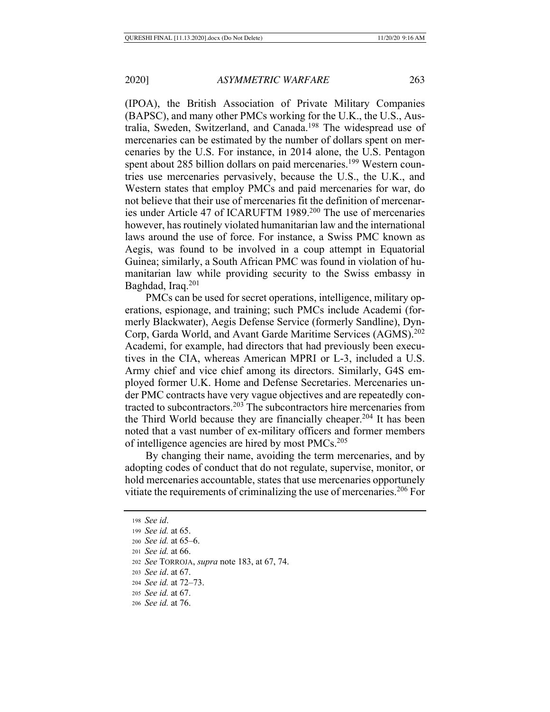(IPOA), the British Association of Private Military Companies (BAPSC), and many other PMCs working for the U.K., the U.S., Australia, Sweden, Switzerland, and Canada.198 The widespread use of mercenaries can be estimated by the number of dollars spent on mercenaries by the U.S. For instance, in 2014 alone, the U.S. Pentagon spent about 285 billion dollars on paid mercenaries.<sup>199</sup> Western countries use mercenaries pervasively, because the U.S., the U.K., and Western states that employ PMCs and paid mercenaries for war, do not believe that their use of mercenaries fit the definition of mercenaries under Article 47 of ICARUFTM 1989.<sup>200</sup> The use of mercenaries however, has routinely violated humanitarian law and the international laws around the use of force. For instance, a Swiss PMC known as Aegis, was found to be involved in a coup attempt in Equatorial Guinea; similarly, a South African PMC was found in violation of humanitarian law while providing security to the Swiss embassy in Baghdad, Iraq.201

PMCs can be used for secret operations, intelligence, military operations, espionage, and training; such PMCs include Academi (formerly Blackwater), Aegis Defense Service (formerly Sandline), Dyn-Corp, Garda World, and Avant Garde Maritime Services (AGMS).<sup>202</sup> Academi, for example, had directors that had previously been executives in the CIA, whereas American MPRI or L-3, included a U.S. Army chief and vice chief among its directors. Similarly, G4S employed former U.K. Home and Defense Secretaries. Mercenaries under PMC contracts have very vague objectives and are repeatedly contracted to subcontractors.203 The subcontractors hire mercenaries from the Third World because they are financially cheaper.<sup>204</sup> It has been noted that a vast number of ex-military officers and former members of intelligence agencies are hired by most PMCs.205

By changing their name, avoiding the term mercenaries, and by adopting codes of conduct that do not regulate, supervise, monitor, or hold mercenaries accountable, states that use mercenaries opportunely vitiate the requirements of criminalizing the use of mercenaries.206 For

<sup>203</sup> *See id*. at 67.

<sup>198</sup> *See id*.

<sup>199</sup> *See id.* at 65.

<sup>200</sup> *See id.* at 65–6.

<sup>201</sup> *See id.* at 66.

<sup>202</sup> *See* TORROJA, *supra* note 183, at 67, 74.

<sup>204</sup> *See id.* at 72–73.

<sup>205</sup> *See id.* at 67.

<sup>206</sup> *See id.* at 76.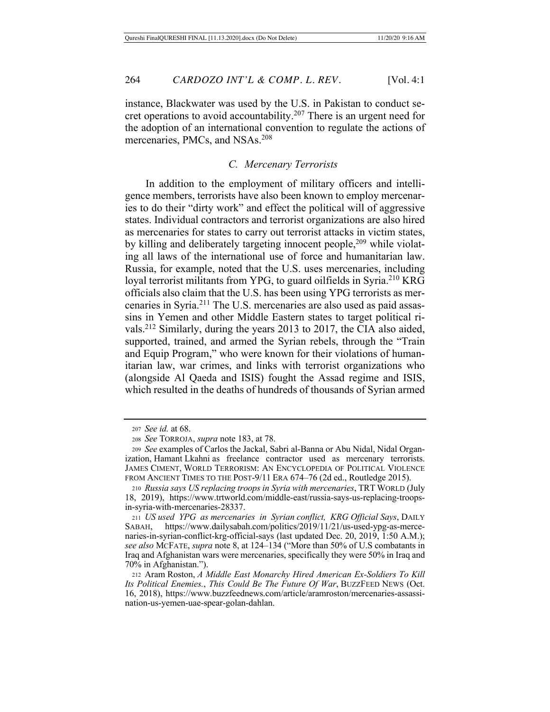instance, Blackwater was used by the U.S. in Pakistan to conduct secret operations to avoid accountability.<sup>207</sup> There is an urgent need for the adoption of an international convention to regulate the actions of mercenaries, PMCs, and NSAs.208

# *C. Mercenary Terrorists*

In addition to the employment of military officers and intelligence members, terrorists have also been known to employ mercenaries to do their "dirty work" and effect the political will of aggressive states. Individual contractors and terrorist organizations are also hired as mercenaries for states to carry out terrorist attacks in victim states, by killing and deliberately targeting innocent people,<sup>209</sup> while violating all laws of the international use of force and humanitarian law. Russia, for example, noted that the U.S. uses mercenaries, including loyal terrorist militants from YPG, to guard oilfields in Syria.<sup>210</sup> KRG officials also claim that the U.S. has been using YPG terrorists as mercenaries in Syria.211 The U.S. mercenaries are also used as paid assassins in Yemen and other Middle Eastern states to target political rivals.212 Similarly, during the years 2013 to 2017, the CIA also aided, supported, trained, and armed the Syrian rebels, through the "Train and Equip Program," who were known for their violations of humanitarian law, war crimes, and links with terrorist organizations who (alongside Al Qaeda and ISIS) fought the Assad regime and ISIS, which resulted in the deaths of hundreds of thousands of Syrian armed

<sup>207</sup> *See id.* at 68.

<sup>208</sup> *See* TORROJA, *supra* note 183, at 78.

<sup>209</sup> *See* examples of Carlos the Jackal, Sabri al-Banna or Abu Nidal, Nidal Organization, Hamant Lkahni as freelance contractor used as mercenary terrorists. JAMES CIMENT, WORLD TERRORISM: AN ENCYCLOPEDIA OF POLITICAL VIOLENCE FROM ANCIENT TIMES TO THE POST-9/11 ERA 674-76 (2d ed., Routledge 2015).

<sup>210</sup> *Russia says US replacing troops in Syria with mercenaries*, TRT WORLD (July 18, 2019), https://www.trtworld.com/middle-east/russia-says-us-replacing-troopsin-syria-with-mercenaries-28337.

<sup>211</sup> *US used YPG as mercenaries in Syrian conflict, KRG Official Says*, DAILY SABAH, https://www.dailysabah.com/politics/2019/11/21/us-used-ypg-as-mercenaries-in-syrian-conflict-krg-official-says (last updated Dec. 20, 2019, 1:50 A.M.); *see also* MCFATE, *supra* note 8, at 124–134 ("More than 50% of U.S combatants in Iraq and Afghanistan wars were mercenaries, specifically they were 50% in Iraq and 70% in Afghanistan.").

<sup>212</sup> Aram Roston, *A Middle East Monarchy Hired American Ex-Soldiers To Kill Its Political Enemies.*, *This Could Be The Future Of War*, BUZZFEED NEWS (Oct. 16, 2018), https://www.buzzfeednews.com/article/aramroston/mercenaries-assassination-us-yemen-uae-spear-golan-dahlan.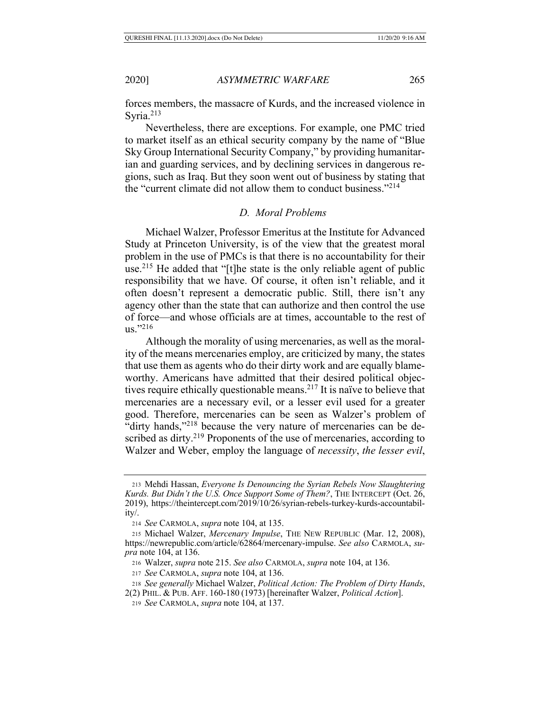forces members, the massacre of Kurds, and the increased violence in Syria. $213$ 

Nevertheless, there are exceptions. For example, one PMC tried to market itself as an ethical security company by the name of "Blue Sky Group International Security Company," by providing humanitarian and guarding services, and by declining services in dangerous regions, such as Iraq. But they soon went out of business by stating that the "current climate did not allow them to conduct business."214

# *D. Moral Problems*

Michael Walzer, Professor Emeritus at the Institute for Advanced Study at Princeton University, is of the view that the greatest moral problem in the use of PMCs is that there is no accountability for their use.215 He added that "[t]he state is the only reliable agent of public responsibility that we have. Of course, it often isn't reliable, and it often doesn't represent a democratic public. Still, there isn't any agency other than the state that can authorize and then control the use of force—and whose officials are at times, accountable to the rest of  $\mu$ s."216

Although the morality of using mercenaries, as well as the morality of the means mercenaries employ, are criticized by many, the states that use them as agents who do their dirty work and are equally blameworthy. Americans have admitted that their desired political objectives require ethically questionable means.<sup>217</sup> It is naïve to believe that mercenaries are a necessary evil, or a lesser evil used for a greater good. Therefore, mercenaries can be seen as Walzer's problem of "dirty hands,"<sup>218</sup> because the very nature of mercenaries can be described as dirty.<sup>219</sup> Proponents of the use of mercenaries, according to Walzer and Weber, employ the language of *necessity*, *the lesser evil*,

<sup>213</sup> Mehdi Hassan, *Everyone Is Denouncing the Syrian Rebels Now Slaughtering Kurds. But Didn't the U.S. Once Support Some of Them?*, THE INTERCEPT (Oct. 26, 2019), https://theintercept.com/2019/10/26/syrian-rebels-turkey-kurds-accountability/.

<sup>214</sup> *See* CARMOLA, *supra* note 104, at 135.

<sup>215</sup> Michael Walzer, *Mercenary Impulse*, THE NEW REPUBLIC (Mar. 12, 2008), https://newrepublic.com/article/62864/mercenary-impulse. *See also* CARMOLA, *supra* note 104, at 136.

<sup>216</sup> Walzer, *supra* note 215. *See also* CARMOLA, *supra* note 104, at 136.

<sup>217</sup> *See* CARMOLA, *supra* note 104, at 136.

<sup>218</sup> *See generally* Michael Walzer, *Political Action: The Problem of Dirty Hands*,

<sup>2(2)</sup> PHIL. & PUB. AFF. 160-180 (1973) [hereinafter Walzer, *Political Action*].

<sup>219</sup> *See* CARMOLA, *supra* note 104, at 137.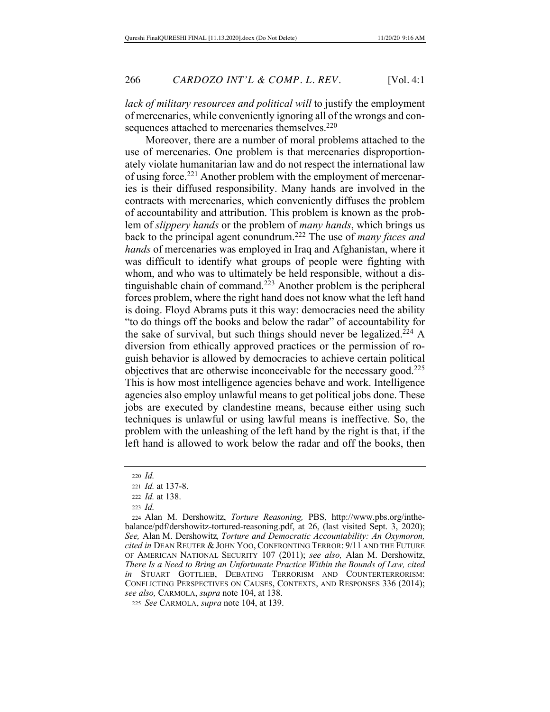*lack of military resources and political will* to justify the employment of mercenaries, while conveniently ignoring all of the wrongs and consequences attached to mercenaries themselves.<sup>220</sup>

Moreover, there are a number of moral problems attached to the use of mercenaries. One problem is that mercenaries disproportionately violate humanitarian law and do not respect the international law of using force.221 Another problem with the employment of mercenaries is their diffused responsibility. Many hands are involved in the contracts with mercenaries, which conveniently diffuses the problem of accountability and attribution. This problem is known as the problem of *slippery hands* or the problem of *many hands*, which brings us back to the principal agent conundrum.222 The use of *many faces and hands* of mercenaries was employed in Iraq and Afghanistan, where it was difficult to identify what groups of people were fighting with whom, and who was to ultimately be held responsible, without a distinguishable chain of command.<sup>223</sup> Another problem is the peripheral forces problem, where the right hand does not know what the left hand is doing. Floyd Abrams puts it this way: democracies need the ability "to do things off the books and below the radar" of accountability for the sake of survival, but such things should never be legalized.<sup>224</sup> A diversion from ethically approved practices or the permission of roguish behavior is allowed by democracies to achieve certain political objectives that are otherwise inconceivable for the necessary good.225 This is how most intelligence agencies behave and work. Intelligence agencies also employ unlawful means to get political jobs done. These jobs are executed by clandestine means, because either using such techniques is unlawful or using lawful means is ineffective. So, the problem with the unleashing of the left hand by the right is that, if the left hand is allowed to work below the radar and off the books, then

<sup>223</sup> *Id.*

<sup>220</sup> *Id.*

<sup>221</sup> *Id.* at 137-8.

<sup>222</sup> *Id.* at 138.

<sup>224</sup> Alan M. Dershowitz, *Torture Reasoning,* PBS, http://www.pbs.org/inthebalance/pdf/dershowitz-tortured-reasoning.pdf, at 26, (last visited Sept. 3, 2020); *See,* Alan M. Dershowitz*, Torture and Democratic Accountability: An Oxymoron, cited in* DEAN REUTER & JOHN YOO, CONFRONTING TERROR: 9/11 AND THE FUTURE OF AMERICAN NATIONAL SECURITY 107 (2011); *see also,* Alan M. Dershowitz, *There Is a Need to Bring an Unfortunate Practice Within the Bounds of Law, cited in* STUART GOTTLIEB, DEBATING TERRORISM AND COUNTERTERRORISM: CONFLICTING PERSPECTIVES ON CAUSES, CONTEXTS, AND RESPONSES 336 (2014); *see also,* CARMOLA, *supra* note 104, at 138.

<sup>225</sup> *See* CARMOLA, *supra* note 104, at 139.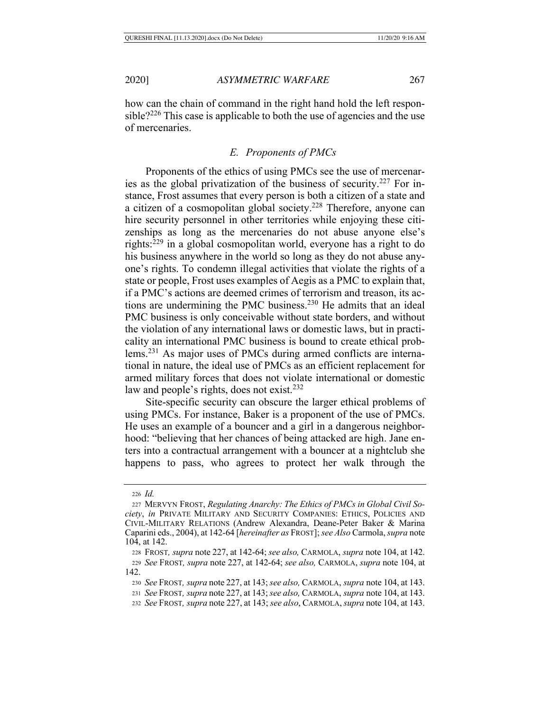how can the chain of command in the right hand hold the left responsible?226 This case is applicable to both the use of agencies and the use of mercenaries.

### *E. Proponents of PMCs*

Proponents of the ethics of using PMCs see the use of mercenaries as the global privatization of the business of security.<sup>227</sup> For instance, Frost assumes that every person is both a citizen of a state and a citizen of a cosmopolitan global society.228 Therefore, anyone can hire security personnel in other territories while enjoying these citizenships as long as the mercenaries do not abuse anyone else's rights:229 in a global cosmopolitan world, everyone has a right to do his business anywhere in the world so long as they do not abuse anyone's rights. To condemn illegal activities that violate the rights of a state or people, Frost uses examples of Aegis as a PMC to explain that, if a PMC's actions are deemed crimes of terrorism and treason, its actions are undermining the PMC business.<sup>230</sup> He admits that an ideal PMC business is only conceivable without state borders, and without the violation of any international laws or domestic laws, but in practicality an international PMC business is bound to create ethical problems.231 As major uses of PMCs during armed conflicts are international in nature, the ideal use of PMCs as an efficient replacement for armed military forces that does not violate international or domestic law and people's rights, does not exist.<sup>232</sup>

Site-specific security can obscure the larger ethical problems of using PMCs. For instance, Baker is a proponent of the use of PMCs. He uses an example of a bouncer and a girl in a dangerous neighborhood: "believing that her chances of being attacked are high. Jane enters into a contractual arrangement with a bouncer at a nightclub she happens to pass, who agrees to protect her walk through the

<sup>232</sup> *See* FROST*, supra* note 227, at 143; *see also*, CARMOLA, *supra* note 104, at 143.

<sup>226</sup> *Id.*

<sup>227</sup> MERVYN FROST, *Regulating Anarchy: The Ethics of PMCs in Global Civil Society*, *in* PRIVATE MILITARY AND SECURITY COMPANIES: ETHICS, POLICIES AND CIVIL-MILITARY RELATIONS (Andrew Alexandra, Deane-Peter Baker & Marina Caparini eds., 2004), at 142-64 [*hereinafter as* FROST]; *see Also* Carmola, *supra* note 104, at 142.

<sup>228</sup> FROST*, supra* note 227, at 142-64; *see also,* CARMOLA, *supra* note 104, at 142. <sup>229</sup> *See* FROST*, supra* note 227, at 142-64; *see also,* CARMOLA, *supra* note 104, at 142.

<sup>230</sup> *See* FROST*, supra* note 227, at 143; *see also,* CARMOLA, *supra* note 104, at 143.

<sup>231</sup> *See* FROST*, supra* note 227, at 143; *see also,* CARMOLA, *supra* note 104, at 143.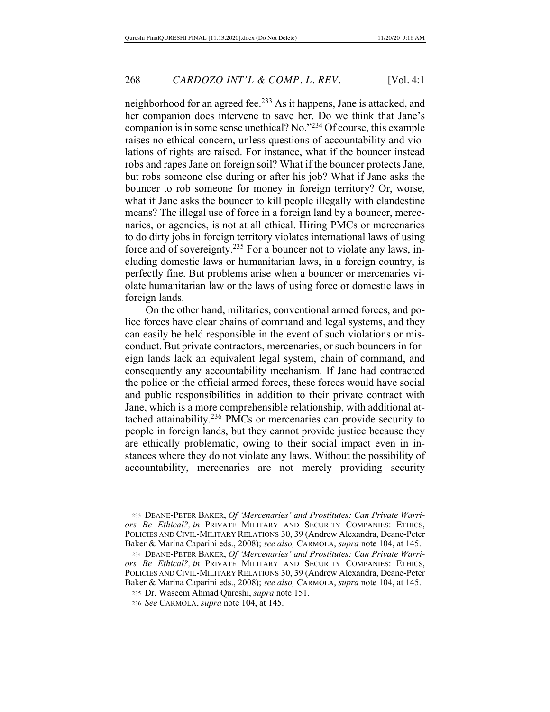neighborhood for an agreed fee.233 As it happens, Jane is attacked, and her companion does intervene to save her. Do we think that Jane's companion is in some sense unethical? No."234 Of course, this example raises no ethical concern, unless questions of accountability and violations of rights are raised. For instance, what if the bouncer instead robs and rapes Jane on foreign soil? What if the bouncer protects Jane, but robs someone else during or after his job? What if Jane asks the bouncer to rob someone for money in foreign territory? Or, worse, what if Jane asks the bouncer to kill people illegally with clandestine means? The illegal use of force in a foreign land by a bouncer, mercenaries, or agencies, is not at all ethical. Hiring PMCs or mercenaries to do dirty jobs in foreign territory violates international laws of using force and of sovereignty.235 For a bouncer not to violate any laws, including domestic laws or humanitarian laws, in a foreign country, is perfectly fine. But problems arise when a bouncer or mercenaries violate humanitarian law or the laws of using force or domestic laws in foreign lands.

On the other hand, militaries, conventional armed forces, and police forces have clear chains of command and legal systems, and they can easily be held responsible in the event of such violations or misconduct. But private contractors, mercenaries, or such bouncers in foreign lands lack an equivalent legal system, chain of command, and consequently any accountability mechanism. If Jane had contracted the police or the official armed forces, these forces would have social and public responsibilities in addition to their private contract with Jane, which is a more comprehensible relationship, with additional attached attainability.236 PMCs or mercenaries can provide security to people in foreign lands, but they cannot provide justice because they are ethically problematic, owing to their social impact even in instances where they do not violate any laws. Without the possibility of accountability, mercenaries are not merely providing security

<sup>235</sup> Dr. Waseem Ahmad Qureshi, *supra* note 151.

<sup>233</sup> DEANE-PETER BAKER, *Of 'Mercenaries' and Prostitutes: Can Private Warriors Be Ethical?, in* PRIVATE MILITARY AND SECURITY COMPANIES: ETHICS, POLICIES AND CIVIL-MILITARY RELATIONS 30, 39 (Andrew Alexandra, Deane-Peter Baker & Marina Caparini eds., 2008); *see also,* CARMOLA, *supra* note 104, at 145.

<sup>234</sup> DEANE-PETER BAKER, *Of 'Mercenaries' and Prostitutes: Can Private Warriors Be Ethical?, in* PRIVATE MILITARY AND SECURITY COMPANIES: ETHICS, POLICIES AND CIVIL-MILITARY RELATIONS 30, 39 (Andrew Alexandra, Deane-Peter Baker & Marina Caparini eds., 2008); *see also,* CARMOLA, *supra* note 104, at 145.

<sup>236</sup> *See* CARMOLA, *supra* note 104, at 145.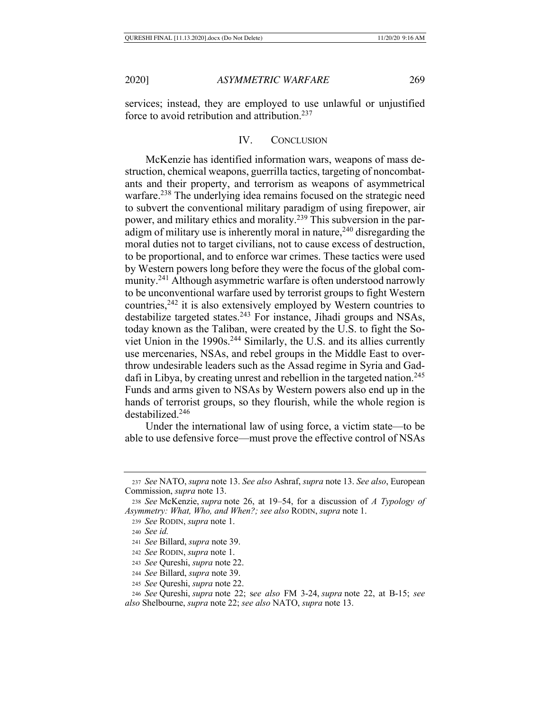services; instead, they are employed to use unlawful or unjustified force to avoid retribution and attribution.237

## IV. CONCLUSION

McKenzie has identified information wars, weapons of mass destruction, chemical weapons, guerrilla tactics, targeting of noncombatants and their property, and terrorism as weapons of asymmetrical warfare.<sup>238</sup> The underlying idea remains focused on the strategic need to subvert the conventional military paradigm of using firepower, air power, and military ethics and morality.239 This subversion in the paradigm of military use is inherently moral in nature,  $240$  disregarding the moral duties not to target civilians, not to cause excess of destruction, to be proportional, and to enforce war crimes. These tactics were used by Western powers long before they were the focus of the global community.<sup>241</sup> Although asymmetric warfare is often understood narrowly to be unconventional warfare used by terrorist groups to fight Western countries,<sup>242</sup> it is also extensively employed by Western countries to destabilize targeted states.<sup>243</sup> For instance, Jihadi groups and NSAs, today known as the Taliban, were created by the U.S. to fight the Soviet Union in the 1990s.<sup>244</sup> Similarly, the U.S. and its allies currently use mercenaries, NSAs, and rebel groups in the Middle East to overthrow undesirable leaders such as the Assad regime in Syria and Gaddafi in Libya, by creating unrest and rebellion in the targeted nation.<sup>245</sup> Funds and arms given to NSAs by Western powers also end up in the hands of terrorist groups, so they flourish, while the whole region is destabilized.246

Under the international law of using force, a victim state—to be able to use defensive force—must prove the effective control of NSAs

<sup>237</sup> *See* NATO, *supra* note 13. *See also* Ashraf, *supra* note 13. *See also*, European Commission, *supra* note 13.

<sup>238</sup> *See* McKenzie, *supra* note 26, at 19–54, for a discussion of *A Typology of Asymmetry: What, Who, and When?; see also* RODIN, *supra* note 1.

<sup>239</sup> *See* RODIN, *supra* note 1.

<sup>240</sup> *See id.*

<sup>241</sup> *See* Billard, *supra* note 39.

<sup>242</sup> *See* RODIN, *supra* note 1.

<sup>243</sup> *See* Qureshi, *supra* note 22.

<sup>244</sup> *See* Billard, *supra* note 39.

<sup>245</sup> *See* Qureshi, *supra* note 22.

<sup>246</sup> *See* Qureshi, *supra* note 22; s*ee also* FM 3-24, *supra* note 22, at B-15; *see also* Shelbourne, *supra* note 22; *see also* NATO, *supra* note 13.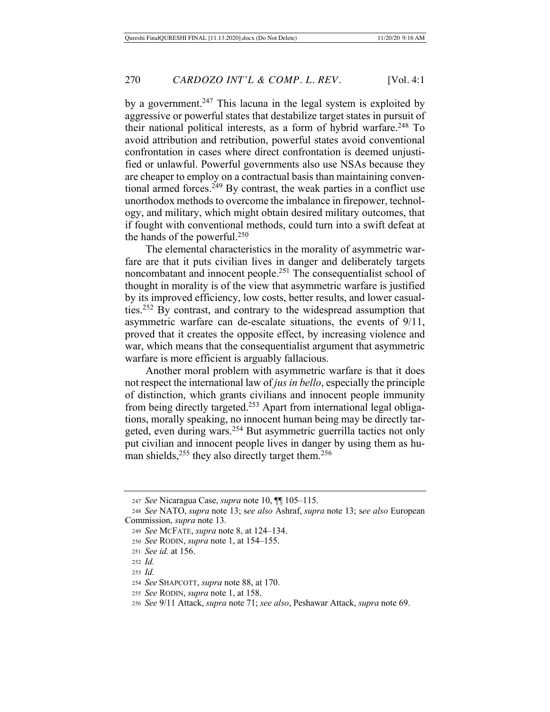by a government.<sup>247</sup> This lacuna in the legal system is exploited by aggressive or powerful states that destabilize target states in pursuit of their national political interests, as a form of hybrid warfare.<sup>248</sup> To avoid attribution and retribution, powerful states avoid conventional confrontation in cases where direct confrontation is deemed unjustified or unlawful. Powerful governments also use NSAs because they are cheaper to employ on a contractual basis than maintaining conventional armed forces.<sup>249</sup> By contrast, the weak parties in a conflict use unorthodox methods to overcome the imbalance in firepower, technology, and military, which might obtain desired military outcomes, that if fought with conventional methods, could turn into a swift defeat at the hands of the powerful.250

The elemental characteristics in the morality of asymmetric warfare are that it puts civilian lives in danger and deliberately targets noncombatant and innocent people.251 The consequentialist school of thought in morality is of the view that asymmetric warfare is justified by its improved efficiency, low costs, better results, and lower casualties.252 By contrast, and contrary to the widespread assumption that asymmetric warfare can de-escalate situations, the events of 9/11, proved that it creates the opposite effect, by increasing violence and war, which means that the consequentialist argument that asymmetric warfare is more efficient is arguably fallacious.

Another moral problem with asymmetric warfare is that it does not respect the international law of *jus in bello*, especially the principle of distinction, which grants civilians and innocent people immunity from being directly targeted.253 Apart from international legal obligations, morally speaking, no innocent human being may be directly targeted, even during wars.254 But asymmetric guerrilla tactics not only put civilian and innocent people lives in danger by using them as human shields,  $255$  they also directly target them.  $256$ 

<sup>247</sup> *See* Nicaragua Case, *supra* note 10, ¶¶ 105–115.

<sup>248</sup> *See* NATO, *supra* note 13; s*ee also* Ashraf, *supra* note 13; s*ee also* European Commission, *supra* note 13.

<sup>249</sup> *See* MCFATE, *supra* note 8, at 124–134.

<sup>250</sup> *See* RODIN, *supra* note 1, at 154–155.

<sup>251</sup> *See id.* at 156.

<sup>252</sup> *Id.*

<sup>253</sup> *Id.*

<sup>254</sup> *See* SHAPCOTT, *supra* note 88, at 170.

<sup>255</sup> *See* RODIN, *supra* note 1, at 158.

<sup>256</sup> *See* 9/11 Attack, *supra* note 71; *see also*, Peshawar Attack, *supra* note 69.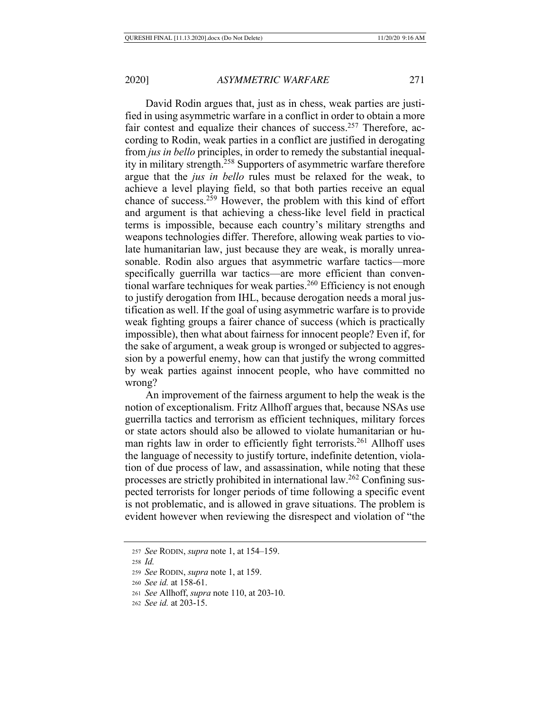David Rodin argues that, just as in chess, weak parties are justified in using asymmetric warfare in a conflict in order to obtain a more fair contest and equalize their chances of success.<sup>257</sup> Therefore, according to Rodin, weak parties in a conflict are justified in derogating from *jus in bello* principles, in order to remedy the substantial inequality in military strength.258 Supporters of asymmetric warfare therefore argue that the *jus in bello* rules must be relaxed for the weak, to achieve a level playing field, so that both parties receive an equal chance of success.259 However, the problem with this kind of effort and argument is that achieving a chess-like level field in practical terms is impossible, because each country's military strengths and weapons technologies differ. Therefore, allowing weak parties to violate humanitarian law, just because they are weak, is morally unreasonable. Rodin also argues that asymmetric warfare tactics—more specifically guerrilla war tactics—are more efficient than conventional warfare techniques for weak parties.<sup>260</sup> Efficiency is not enough to justify derogation from IHL, because derogation needs a moral justification as well. If the goal of using asymmetric warfare is to provide weak fighting groups a fairer chance of success (which is practically impossible), then what about fairness for innocent people? Even if, for the sake of argument, a weak group is wronged or subjected to aggression by a powerful enemy, how can that justify the wrong committed by weak parties against innocent people, who have committed no wrong?

An improvement of the fairness argument to help the weak is the notion of exceptionalism. Fritz Allhoff argues that, because NSAs use guerrilla tactics and terrorism as efficient techniques, military forces or state actors should also be allowed to violate humanitarian or human rights law in order to efficiently fight terrorists.261 Allhoff uses the language of necessity to justify torture, indefinite detention, violation of due process of law, and assassination, while noting that these processes are strictly prohibited in international law.262 Confining suspected terrorists for longer periods of time following a specific event is not problematic, and is allowed in grave situations. The problem is evident however when reviewing the disrespect and violation of "the

<sup>257</sup> *See* RODIN, *supra* note 1, at 154–159.

<sup>258</sup> *Id.*

<sup>259</sup> *See* RODIN, *supra* note 1, at 159.

<sup>260</sup> *See id.* at 158-61.

<sup>261</sup> *See* Allhoff, *supra* note 110, at 203-10.

<sup>262</sup> *See id.* at 203-15.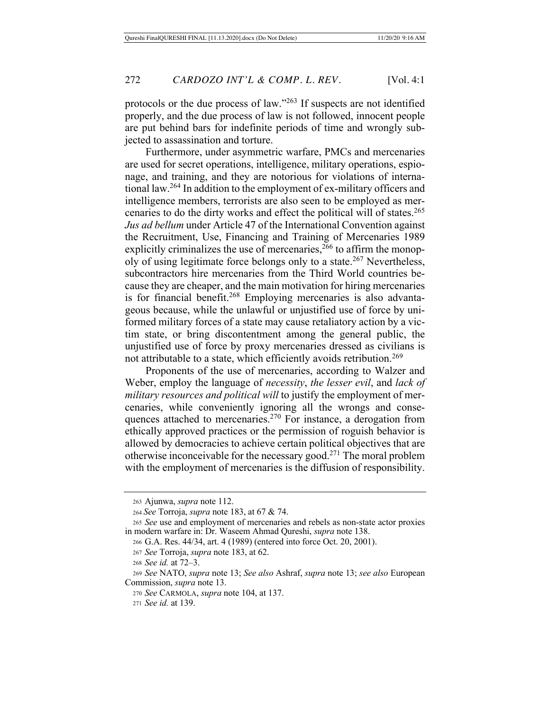protocols or the due process of law."263 If suspects are not identified properly, and the due process of law is not followed, innocent people are put behind bars for indefinite periods of time and wrongly subjected to assassination and torture.

Furthermore, under asymmetric warfare, PMCs and mercenaries are used for secret operations, intelligence, military operations, espionage, and training, and they are notorious for violations of international law.264 In addition to the employment of ex-military officers and intelligence members, terrorists are also seen to be employed as mercenaries to do the dirty works and effect the political will of states.<sup>265</sup> *Jus ad bellum* under Article 47 of the International Convention against the Recruitment, Use, Financing and Training of Mercenaries 1989 explicitly criminalizes the use of mercenaries,  $266$  to affirm the monopoly of using legitimate force belongs only to a state.267 Nevertheless, subcontractors hire mercenaries from the Third World countries because they are cheaper, and the main motivation for hiring mercenaries is for financial benefit.<sup>268</sup> Employing mercenaries is also advantageous because, while the unlawful or unjustified use of force by uniformed military forces of a state may cause retaliatory action by a victim state, or bring discontentment among the general public, the unjustified use of force by proxy mercenaries dressed as civilians is not attributable to a state, which efficiently avoids retribution.<sup>269</sup>

Proponents of the use of mercenaries, according to Walzer and Weber, employ the language of *necessity*, *the lesser evil*, and *lack of military resources and political will* to justify the employment of mercenaries, while conveniently ignoring all the wrongs and consequences attached to mercenaries.270 For instance, a derogation from ethically approved practices or the permission of roguish behavior is allowed by democracies to achieve certain political objectives that are otherwise inconceivable for the necessary good.271 The moral problem with the employment of mercenaries is the diffusion of responsibility.

<sup>263</sup> Ajunwa, *supra* note 112.

<sup>264</sup> *See* Torroja, *supra* note 183, at 67 & 74.

<sup>265</sup> *See* use and employment of mercenaries and rebels as non-state actor proxies in modern warfare in: Dr. Waseem Ahmad Qureshi, *supra* note 138.

<sup>266</sup> G.A. Res. 44/34, art. 4 (1989) (entered into force Oct. 20, 2001).

<sup>267</sup> *See* Torroja, *supra* note 183, at 62.

<sup>268</sup> *See id.* at 72–3.

<sup>269</sup> *See* NATO, *supra* note 13; *See also* Ashraf, *supra* note 13; *see also* European Commission, *supra* note 13.

<sup>270</sup> *See* CARMOLA, *supra* note 104, at 137.

<sup>271</sup> *See id.* at 139.